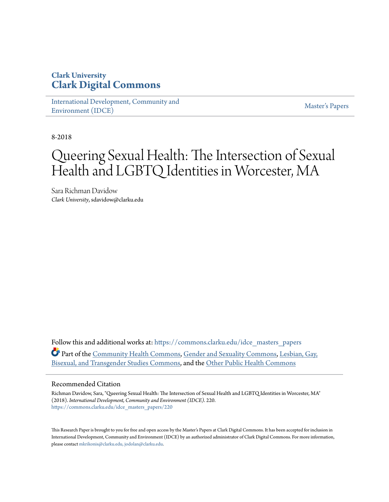### **Clark University [Clark Digital Commons](https://commons.clarku.edu?utm_source=commons.clarku.edu%2Fidce_masters_papers%2F220&utm_medium=PDF&utm_campaign=PDFCoverPages)**

[International Development, Community and](https://commons.clarku.edu/idce_masters_papers?utm_source=commons.clarku.edu%2Fidce_masters_papers%2F220&utm_medium=PDF&utm_campaign=PDFCoverPages) [Environment \(IDCE\)](https://commons.clarku.edu/idce_masters_papers?utm_source=commons.clarku.edu%2Fidce_masters_papers%2F220&utm_medium=PDF&utm_campaign=PDFCoverPages)

[Master's Papers](https://commons.clarku.edu/masters_papers?utm_source=commons.clarku.edu%2Fidce_masters_papers%2F220&utm_medium=PDF&utm_campaign=PDFCoverPages)

8-2018

# Queering Sexual Health: The Intersection of Sexual Health and LGBTQ Identities in Worcester, MA

Sara Richman Davidow *Clark University*, sdavidow@clarku.edu

Follow this and additional works at: [https://commons.clarku.edu/idce\\_masters\\_papers](https://commons.clarku.edu/idce_masters_papers?utm_source=commons.clarku.edu%2Fidce_masters_papers%2F220&utm_medium=PDF&utm_campaign=PDFCoverPages) Part of the [Community Health Commons](http://network.bepress.com/hgg/discipline/714?utm_source=commons.clarku.edu%2Fidce_masters_papers%2F220&utm_medium=PDF&utm_campaign=PDFCoverPages), [Gender and Sexuality Commons,](http://network.bepress.com/hgg/discipline/420?utm_source=commons.clarku.edu%2Fidce_masters_papers%2F220&utm_medium=PDF&utm_campaign=PDFCoverPages) [Lesbian, Gay,](http://network.bepress.com/hgg/discipline/560?utm_source=commons.clarku.edu%2Fidce_masters_papers%2F220&utm_medium=PDF&utm_campaign=PDFCoverPages) [Bisexual, and Transgender Studies Commons,](http://network.bepress.com/hgg/discipline/560?utm_source=commons.clarku.edu%2Fidce_masters_papers%2F220&utm_medium=PDF&utm_campaign=PDFCoverPages) and the [Other Public Health Commons](http://network.bepress.com/hgg/discipline/748?utm_source=commons.clarku.edu%2Fidce_masters_papers%2F220&utm_medium=PDF&utm_campaign=PDFCoverPages)

#### Recommended Citation

Richman Davidow, Sara, "Queering Sexual Health: The Intersection of Sexual Health and LGBTQ Identities in Worcester, MA" (2018). *International Development, Community and Environment (IDCE)*. 220. [https://commons.clarku.edu/idce\\_masters\\_papers/220](https://commons.clarku.edu/idce_masters_papers/220?utm_source=commons.clarku.edu%2Fidce_masters_papers%2F220&utm_medium=PDF&utm_campaign=PDFCoverPages)

This Research Paper is brought to you for free and open access by the Master's Papers at Clark Digital Commons. It has been accepted for inclusion in International Development, Community and Environment (IDCE) by an authorized administrator of Clark Digital Commons. For more information, please contact [mkrikonis@clarku.edu, jodolan@clarku.edu](mailto:mkrikonis@clarku.edu,%20jodolan@clarku.edu).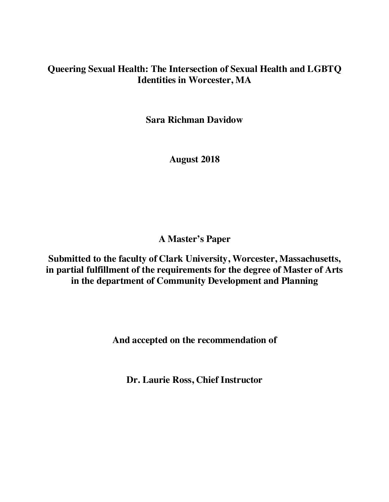### **Queering Sexual Health: The Intersection of Sexual Health and LGBTQ Identities in Worcester, MA**

**Sara Richman Davidow**

**August 2018**

**A Master's Paper**

**Submitted to the faculty of Clark University, Worcester, Massachusetts, in partial fulfillment of the requirements for the degree of Master of Arts in the department of Community Development and Planning**

**And accepted on the recommendation of**

**Dr. Laurie Ross, Chief Instructor**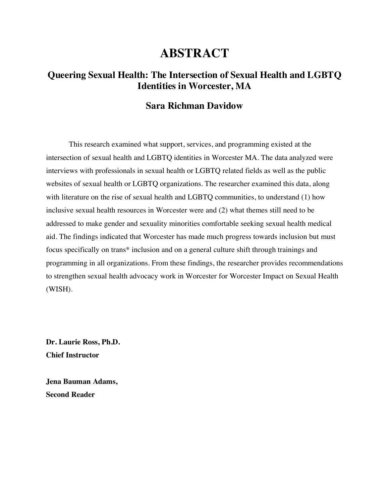### **ABSTRACT**

### **Queering Sexual Health: The Intersection of Sexual Health and LGBTQ Identities in Worcester, MA**

### **Sara Richman Davidow**

This research examined what support, services, and programming existed at the intersection of sexual health and LGBTQ identities in Worcester MA. The data analyzed were interviews with professionals in sexual health or LGBTQ related fields as well as the public websites of sexual health or LGBTQ organizations. The researcher examined this data, along with literature on the rise of sexual health and LGBTQ communities, to understand (1) how inclusive sexual health resources in Worcester were and (2) what themes still need to be addressed to make gender and sexuality minorities comfortable seeking sexual health medical aid. The findings indicated that Worcester has made much progress towards inclusion but must focus specifically on trans\* inclusion and on a general culture shift through trainings and programming in all organizations. From these findings, the researcher provides recommendations to strengthen sexual health advocacy work in Worcester for Worcester Impact on Sexual Health (WISH).

**Dr. Laurie Ross, Ph.D. Chief Instructor**

**Jena Bauman Adams, Second Reader**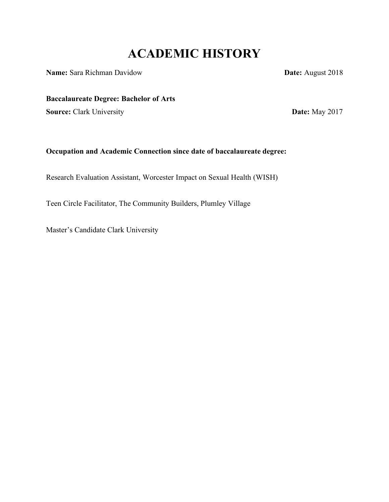# **ACADEMIC HISTORY**

**Name:** Sara Richman Davidow **Date:** August 2018

**Baccalaureate Degree: Bachelor of Arts**

**Source:** Clark University **Date:** May 2017

### **Occupation and Academic Connection since date of baccalaureate degree:**

Research Evaluation Assistant, Worcester Impact on Sexual Health (WISH)

Teen Circle Facilitator, The Community Builders, Plumley Village

Master's Candidate Clark University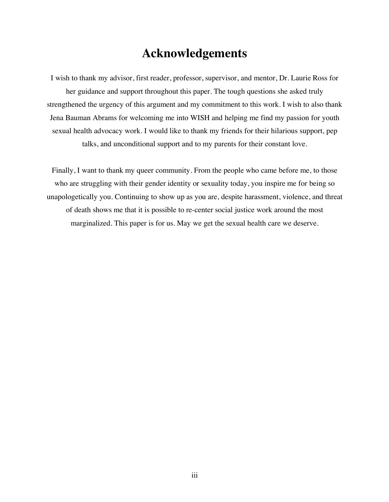## **Acknowledgements**

I wish to thank my advisor, first reader, professor, supervisor, and mentor, Dr. Laurie Ross for her guidance and support throughout this paper. The tough questions she asked truly strengthened the urgency of this argument and my commitment to this work. I wish to also thank Jena Bauman Abrams for welcoming me into WISH and helping me find my passion for youth sexual health advocacy work. I would like to thank my friends for their hilarious support, pep talks, and unconditional support and to my parents for their constant love.

Finally, I want to thank my queer community. From the people who came before me, to those who are struggling with their gender identity or sexuality today, you inspire me for being so unapologetically you. Continuing to show up as you are, despite harassment, violence, and threat of death shows me that it is possible to re-center social justice work around the most marginalized. This paper is for us. May we get the sexual health care we deserve.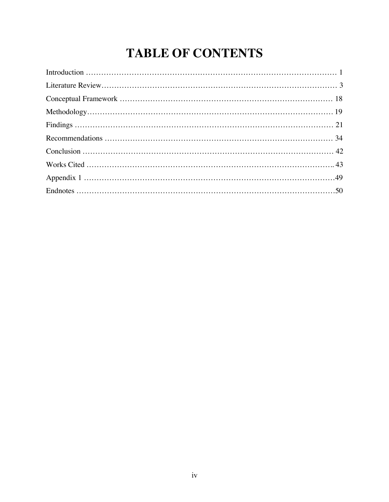# **TABLE OF CONTENTS**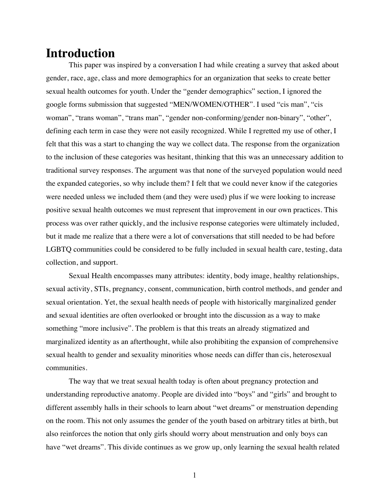### **Introduction**

This paper was inspired by a conversation I had while creating a survey that asked about gender, race, age, class and more demographics for an organization that seeks to create better sexual health outcomes for youth. Under the "gender demographics" section, I ignored the google forms submission that suggested "MEN/WOMEN/OTHER". I used "cis man", "cis woman", "trans woman", "trans man", "gender non-conforming/gender non-binary", "other", defining each term in case they were not easily recognized. While I regretted my use of other, I felt that this was a start to changing the way we collect data. The response from the organization to the inclusion of these categories was hesitant, thinking that this was an unnecessary addition to traditional survey responses. The argument was that none of the surveyed population would need the expanded categories, so why include them? I felt that we could never know if the categories were needed unless we included them (and they were used) plus if we were looking to increase positive sexual health outcomes we must represent that improvement in our own practices. This process was over rather quickly, and the inclusive response categories were ultimately included, but it made me realize that a there were a lot of conversations that still needed to be had before LGBTQ communities could be considered to be fully included in sexual health care, testing, data collection, and support.

Sexual Health encompasses many attributes: identity, body image, healthy relationships, sexual activity, STIs, pregnancy, consent, communication, birth control methods, and gender and sexual orientation. Yet, the sexual health needs of people with historically marginalized gender and sexual identities are often overlooked or brought into the discussion as a way to make something "more inclusive". The problem is that this treats an already stigmatized and marginalized identity as an afterthought, while also prohibiting the expansion of comprehensive sexual health to gender and sexuality minorities whose needs can differ than cis, heterosexual communities.

The way that we treat sexual health today is often about pregnancy protection and understanding reproductive anatomy. People are divided into "boys" and "girls" and brought to different assembly halls in their schools to learn about "wet dreams" or menstruation depending on the room. This not only assumes the gender of the youth based on arbitrary titles at birth, but also reinforces the notion that only girls should worry about menstruation and only boys can have "wet dreams". This divide continues as we grow up, only learning the sexual health related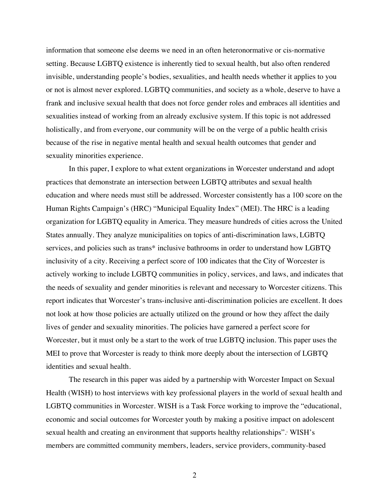information that someone else deems we need in an often heteronormative or cis-normative setting. Because LGBTQ existence is inherently tied to sexual health, but also often rendered invisible, understanding people's bodies, sexualities, and health needs whether it applies to you or not is almost never explored. LGBTQ communities, and society as a whole, deserve to have a frank and inclusive sexual health that does not force gender roles and embraces all identities and sexualities instead of working from an already exclusive system. If this topic is not addressed holistically, and from everyone, our community will be on the verge of a public health crisis because of the rise in negative mental health and sexual health outcomes that gender and sexuality minorities experience.

In this paper, I explore to what extent organizations in Worcester understand and adopt practices that demonstrate an intersection between LGBTQ attributes and sexual health education and where needs must still be addressed. Worcester consistently has a 100 score on the Human Rights Campaign's (HRC) "Municipal Equality Index" (MEI). The HRC is a leading organization for LGBTQ equality in America. They measure hundreds of cities across the United States annually. They analyze municipalities on topics of anti-discrimination laws, LGBTQ services, and policies such as trans\* inclusive bathrooms in order to understand how LGBTQ inclusivity of a city. Receiving a perfect score of 100 indicates that the City of Worcester is actively working to include LGBTQ communities in policy, services, and laws, and indicates that the needs of sexuality and gender minorities is relevant and necessary to Worcester citizens. This report indicates that Worcester's trans-inclusive anti-discrimination policies are excellent. It does not look at how those policies are actually utilized on the ground or how they affect the daily lives of gender and sexuality minorities. The policies have garnered a perfect score for Worcester, but it must only be a start to the work of true LGBTQ inclusion. This paper uses the MEI to prove that Worcester is ready to think more deeply about the intersection of LGBTQ identities and sexual health.

The research in this paper was aided by a partnership with Worcester Impact on Sexual Health (WISH) to host interviews with key professional players in the world of sexual health and LGBTQ communities in Worcester. WISH is a Task Force working to improve the "educational, economic and social outcomes for Worcester youth by making a positive impact on adolescent sexual health and creating an environment that supports healthy relationships".<sup>1</sup> WISH's members are committed community members, leaders, service providers, community-based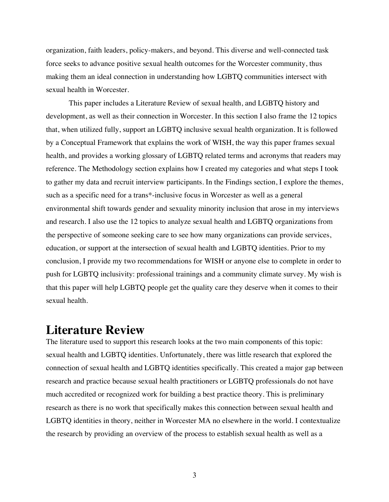organization, faith leaders, policy-makers, and beyond. This diverse and well-connected task force seeks to advance positive sexual health outcomes for the Worcester community, thus making them an ideal connection in understanding how LGBTQ communities intersect with sexual health in Worcester.

This paper includes a Literature Review of sexual health, and LGBTQ history and development, as well as their connection in Worcester. In this section I also frame the 12 topics that, when utilized fully, support an LGBTQ inclusive sexual health organization. It is followed by a Conceptual Framework that explains the work of WISH, the way this paper frames sexual health, and provides a working glossary of LGBTQ related terms and acronyms that readers may reference. The Methodology section explains how I created my categories and what steps I took to gather my data and recruit interview participants. In the Findings section, I explore the themes, such as a specific need for a trans\*-inclusive focus in Worcester as well as a general environmental shift towards gender and sexuality minority inclusion that arose in my interviews and research. I also use the 12 topics to analyze sexual health and LGBTQ organizations from the perspective of someone seeking care to see how many organizations can provide services, education, or support at the intersection of sexual health and LGBTQ identities. Prior to my conclusion, I provide my two recommendations for WISH or anyone else to complete in order to push for LGBTQ inclusivity: professional trainings and a community climate survey. My wish is that this paper will help LGBTQ people get the quality care they deserve when it comes to their sexual health.

### **Literature Review**

The literature used to support this research looks at the two main components of this topic: sexual health and LGBTQ identities. Unfortunately, there was little research that explored the connection of sexual health and LGBTQ identities specifically. This created a major gap between research and practice because sexual health practitioners or LGBTQ professionals do not have much accredited or recognized work for building a best practice theory. This is preliminary research as there is no work that specifically makes this connection between sexual health and LGBTQ identities in theory, neither in Worcester MA no elsewhere in the world. I contextualize the research by providing an overview of the process to establish sexual health as well as a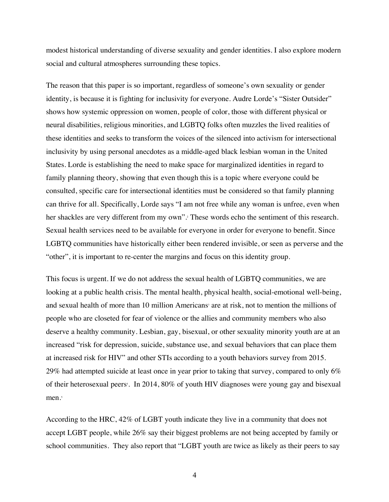modest historical understanding of diverse sexuality and gender identities. I also explore modern social and cultural atmospheres surrounding these topics.

The reason that this paper is so important, regardless of someone's own sexuality or gender identity, is because it is fighting for inclusivity for everyone. Audre Lorde's "Sister Outsider" shows how systemic oppression on women, people of color, those with different physical or neural disabilities, religious minorities, and LGBTQ folks often muzzles the lived realities of these identities and seeks to transform the voices of the silenced into activism for intersectional inclusivity by using personal anecdotes as a middle-aged black lesbian woman in the United States. Lorde is establishing the need to make space for marginalized identities in regard to family planning theory, showing that even though this is a topic where everyone could be consulted, specific care for intersectional identities must be considered so that family planning can thrive for all. Specifically, Lorde says "I am not free while any woman is unfree, even when her shackles are very different from my own". <sup>2</sup> These words echo the sentiment of this research. Sexual health services need to be available for everyone in order for everyone to benefit. Since LGBTQ communities have historically either been rendered invisible, or seen as perverse and the "other", it is important to re-center the margins and focus on this identity group.

This focus is urgent. If we do not address the sexual health of LGBTQ communities, we are looking at a public health crisis. The mental health, physical health, social-emotional well-being, and sexual health of more than 10 million Americans' are at risk, not to mention the millions of people who are closeted for fear of violence or the allies and community members who also deserve a healthy community. Lesbian, gay, bisexual, or other sexuality minority youth are at an increased "risk for depression, suicide, substance use, and sexual behaviors that can place them at increased risk for HIV" and other STIs according to a youth behaviors survey from 2015. 29% had attempted suicide at least once in year prior to taking that survey, compared to only 6% of their heterosexual peers<sup>4</sup>. In 2014, 80% of youth HIV diagnoses were young gay and bisexual men.<sup>5</sup>

According to the HRC, 42% of LGBT youth indicate they live in a community that does not accept LGBT people, while 26% say their biggest problems are not being accepted by family or school communities. They also report that "LGBT youth are twice as likely as their peers to say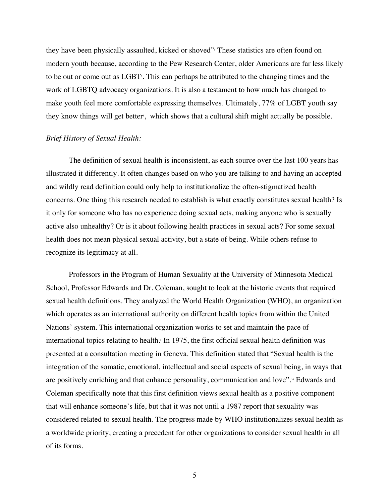they have been physically assaulted, kicked or shoved" These statistics are often found on modern youth because, according to the Pew Research Center, older Americans are far less likely to be out or come out as LGBT<sup>7</sup>. This can perhaps be attributed to the changing times and the work of LGBTQ advocacy organizations. It is also a testament to how much has changed to make youth feel more comfortable expressing themselves. Ultimately, 77% of LGBT youth say they know things will get better<sup>s</sup>, which shows that a cultural shift might actually be possible.

#### *Brief History of Sexual Health:*

The definition of sexual health is inconsistent, as each source over the last 100 years has illustrated it differently. It often changes based on who you are talking to and having an accepted and wildly read definition could only help to institutionalize the often-stigmatized health concerns. One thing this research needed to establish is what exactly constitutes sexual health? Is it only for someone who has no experience doing sexual acts, making anyone who is sexually active also unhealthy? Or is it about following health practices in sexual acts? For some sexual health does not mean physical sexual activity, but a state of being. While others refuse to recognize its legitimacy at all.

Professors in the Program of Human Sexuality at the University of Minnesota Medical School, Professor Edwards and Dr. Coleman, sought to look at the historic events that required sexual health definitions. They analyzed the World Health Organization (WHO), an organization which operates as an international authority on different health topics from within the United Nations' system. This international organization works to set and maintain the pace of international topics relating to health.<sup>9</sup> In 1975, the first official sexual health definition was presented at a consultation meeting in Geneva. This definition stated that "Sexual health is the integration of the somatic, emotional, intellectual and social aspects of sexual being, in ways that are positively enriching and that enhance personality, communication and love".<sup>®</sup> Edwards and Coleman specifically note that this first definition views sexual health as a positive component that will enhance someone's life, but that it was not until a 1987 report that sexuality was considered related to sexual health. The progress made by WHO institutionalizes sexual health as a worldwide priority, creating a precedent for other organizations to consider sexual health in all of its forms.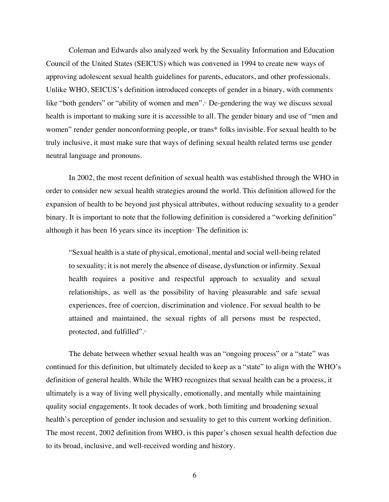Coleman and Edwards also analyzed work by the Sexuality Information and Education Council of the United States (SEICUS) which was convened in 1994 to create new ways of approving adolescent sexual health guidelines for parents, educators, and other professionals. Unlike WHO, SEICUS's definition introduced concepts of gender in a binary, with comments like "both genders" or "ability of women and men".<sup>11</sup> De-gendering the way we discuss sexual health is important to making sure it is accessible to all. The gender binary and use of "men and women" render gender nonconforming people, or trans\* folks invisible. For sexual health to be truly inclusive, it must make sure that ways of defining sexual health related terms use gender neutral language and pronouns.

In 2002, the most recent definition of sexual health was established through the WHO in order to consider new sexual health strategies around the world. This definition allowed for the expansion of health to be beyond just physical attributes, without reducing sexuality to a gender binary. It is important to note that the following definition is considered a "working definition" although it has been 16 years since its inception<sup> $\alpha$ </sup> The definition is:

"Sexual health is a state of physical, emotional, mental and social well-being related to sexuality; it is not merely the absence of disease, dysfunction or infirmity. Sexual health requires a positive and respectful approach to sexuality and sexual relationships, as well as the possibility of having pleasurable and safe sexual experiences, free of coercion, discrimination and violence. For sexual health to be attained and maintained, the sexual rights of all persons must be respected, protected, and fulfilled".<sup>13</sup>

The debate between whether sexual health was an "ongoing process" or a "state" was continued for this definition, but ultimately decided to keep as a "state" to align with the WHO's definition of general health. While the WHO recognizes that sexual health can be a process, it ultimately is a way of living well physically, emotionally, and mentally while maintaining quality social engagements. It took decades of work, both limiting and broadening sexual health's perception of gender inclusion and sexuality to get to this current working definition. The most recent, 2002 definition from WHO, is this paper's chosen sexual health defection due to its broad, inclusive, and well-received wording and history.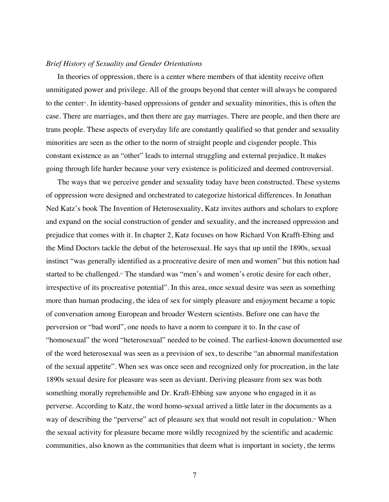#### *Brief History of Sexuality and Gender Orientations*

In theories of oppression, there is a center where members of that identity receive often unmitigated power and privilege. All of the groups beyond that center will always be compared to the center<sup>4</sup>. In identity-based oppressions of gender and sexuality minorities, this is often the case. There are marriages, and then there are gay marriages. There are people, and then there are trans people. These aspects of everyday life are constantly qualified so that gender and sexuality minorities are seen as the other to the norm of straight people and cisgender people. This constant existence as an "other" leads to internal struggling and external prejudice. It makes going through life harder because your very existence is politicized and deemed controversial.

The ways that we perceive gender and sexuality today have been constructed. These systems of oppression were designed and orchestrated to categorize historical differences. In Jonathan Ned Katz's book The Invention of Heterosexuality, Katz invites authors and scholars to explore and expand on the social construction of gender and sexuality, and the increased oppression and prejudice that comes with it. In chapter 2, Katz focuses on how Richard Von Krafft-Ebing and the Mind Doctors tackle the debut of the heterosexual. He says that up until the 1890s, sexual instinct "was generally identified as a procreative desire of men and women" but this notion had started to be challenged.<sup>15</sup> The standard was "men's and women's erotic desire for each other, irrespective of its procreative potential". In this area, once sexual desire was seen as something more than human producing, the idea of sex for simply pleasure and enjoyment became a topic of conversation among European and broader Western scientists. Before one can have the perversion or "bad word", one needs to have a norm to compare it to. In the case of "homosexual" the word "heterosexual" needed to be coined. The earliest-known documented use of the word heterosexual was seen as a prevision of sex, to describe "an abnormal manifestation of the sexual appetite". When sex was once seen and recognized only for procreation, in the late 1890s sexual desire for pleasure was seen as deviant. Deriving pleasure from sex was both something morally reprehensible and Dr. Kraft-Ebbing saw anyone who engaged in it as perverse. According to Katz, the word homo-sexual arrived a little later in the documents as a way of describing the "perverse" act of pleasure sex that would not result in copulation.<sup>6</sup> When the sexual activity for pleasure became more wildly recognized by the scientific and academic communities, also known as the communities that deem what is important in society, the terms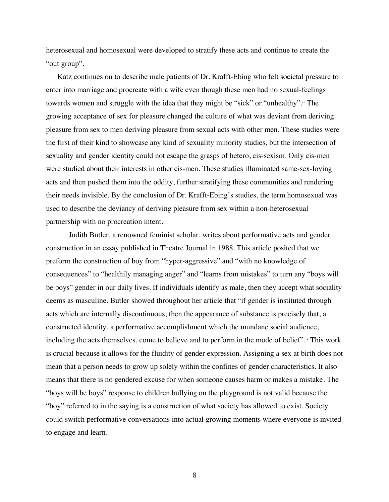heterosexual and homosexual were developed to stratify these acts and continue to create the "out group".

Katz continues on to describe male patients of Dr. Krafft-Ebing who felt societal pressure to enter into marriage and procreate with a wife even though these men had no sexual-feelings towards women and struggle with the idea that they might be "sick" or "unhealthy".17 The growing acceptance of sex for pleasure changed the culture of what was deviant from deriving pleasure from sex to men deriving pleasure from sexual acts with other men. These studies were the first of their kind to showcase any kind of sexuality minority studies, but the intersection of sexuality and gender identity could not escape the grasps of hetero, cis-sexism. Only cis-men were studied about their interests in other cis-men. These studies illuminated same-sex-loving acts and then pushed them into the oddity, further stratifying these communities and rendering their needs invisible. By the conclusion of Dr. Krafft-Ebing's studies, the term homosexual was used to describe the deviancy of deriving pleasure from sex within a non-heterosexual partnership with no procreation intent.

Judith Butler, a renowned feminist scholar, writes about performative acts and gender construction in an essay published in Theatre Journal in 1988. This article posited that we preform the construction of boy from "hyper-aggressive" and "with no knowledge of consequences" to "healthily managing anger" and "learns from mistakes" to turn any "boys will be boys" gender in our daily lives. If individuals identify as male, then they accept what sociality deems as masculine. Butler showed throughout her article that "if gender is instituted through acts which are internally discontinuous, then the appearance of substance is precisely that, a constructed identity, a performative accomplishment which the mundane social audience, including the acts themselves, come to believe and to perform in the mode of belief".<sup>18</sup> This work is crucial because it allows for the fluidity of gender expression. Assigning a sex at birth does not mean that a person needs to grow up solely within the confines of gender characteristics. It also means that there is no gendered excuse for when someone causes harm or makes a mistake. The "boys will be boys" response to children bullying on the playground is not valid because the "boy" referred to in the saying is a construction of what society has allowed to exist. Society could switch performative conversations into actual growing moments where everyone is invited to engage and learn.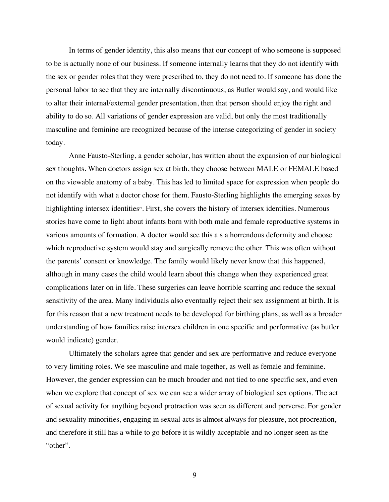In terms of gender identity, this also means that our concept of who someone is supposed to be is actually none of our business. If someone internally learns that they do not identify with the sex or gender roles that they were prescribed to, they do not need to. If someone has done the personal labor to see that they are internally discontinuous, as Butler would say, and would like to alter their internal/external gender presentation, then that person should enjoy the right and ability to do so. All variations of gender expression are valid, but only the most traditionally masculine and feminine are recognized because of the intense categorizing of gender in society today.

Anne Fausto-Sterling, a gender scholar, has written about the expansion of our biological sex thoughts. When doctors assign sex at birth, they choose between MALE or FEMALE based on the viewable anatomy of a baby. This has led to limited space for expression when people do not identify with what a doctor chose for them. Fausto-Sterling highlights the emerging sexes by highlighting intersex identities<sup>19</sup>. First, she covers the history of intersex identities. Numerous stories have come to light about infants born with both male and female reproductive systems in various amounts of formation. A doctor would see this a s a horrendous deformity and choose which reproductive system would stay and surgically remove the other. This was often without the parents' consent or knowledge. The family would likely never know that this happened, although in many cases the child would learn about this change when they experienced great complications later on in life. These surgeries can leave horrible scarring and reduce the sexual sensitivity of the area. Many individuals also eventually reject their sex assignment at birth. It is for this reason that a new treatment needs to be developed for birthing plans, as well as a broader understanding of how families raise intersex children in one specific and performative (as butler would indicate) gender.

Ultimately the scholars agree that gender and sex are performative and reduce everyone to very limiting roles. We see masculine and male together, as well as female and feminine. However, the gender expression can be much broader and not tied to one specific sex, and even when we explore that concept of sex we can see a wider array of biological sex options. The act of sexual activity for anything beyond protraction was seen as different and perverse. For gender and sexuality minorities, engaging in sexual acts is almost always for pleasure, not procreation, and therefore it still has a while to go before it is wildly acceptable and no longer seen as the "other".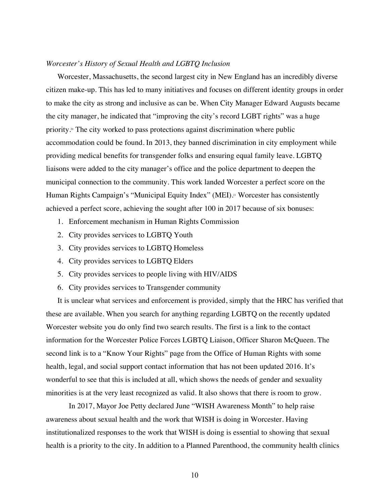#### *Worcester's History of Sexual Health and LGBTQ Inclusion*

Worcester, Massachusetts, the second largest city in New England has an incredibly diverse citizen make-up. This has led to many initiatives and focuses on different identity groups in order to make the city as strong and inclusive as can be. When City Manager Edward Augusts became the city manager, he indicated that "improving the city's record LGBT rights" was a huge priority.<sup>20</sup> The city worked to pass protections against discrimination where public accommodation could be found. In 2013, they banned discrimination in city employment while providing medical benefits for transgender folks and ensuring equal family leave. LGBTQ liaisons were added to the city manager's office and the police department to deepen the municipal connection to the community. This work landed Worcester a perfect score on the Human Rights Campaign's "Municipal Equity Index" (MEI).<sup>21</sup> Worcester has consistently achieved a perfect score, achieving the sought after 100 in 2017 because of six bonuses:

- 1. Enforcement mechanism in Human Rights Commission
- 2. City provides services to LGBTQ Youth
- 3. City provides services to LGBTQ Homeless
- 4. City provides services to LGBTQ Elders
- 5. City provides services to people living with HIV/AIDS
- 6. City provides services to Transgender community

It is unclear what services and enforcement is provided, simply that the HRC has verified that these are available. When you search for anything regarding LGBTQ on the recently updated Worcester website you do only find two search results. The first is a link to the contact information for the Worcester Police Forces LGBTQ Liaison, Officer Sharon McQueen. The second link is to a "Know Your Rights" page from the Office of Human Rights with some health, legal, and social support contact information that has not been updated 2016. It's wonderful to see that this is included at all, which shows the needs of gender and sexuality minorities is at the very least recognized as valid. It also shows that there is room to grow.

In 2017, Mayor Joe Petty declared June "WISH Awareness Month" to help raise awareness about sexual health and the work that WISH is doing in Worcester. Having institutionalized responses to the work that WISH is doing is essential to showing that sexual health is a priority to the city. In addition to a Planned Parenthood, the community health clinics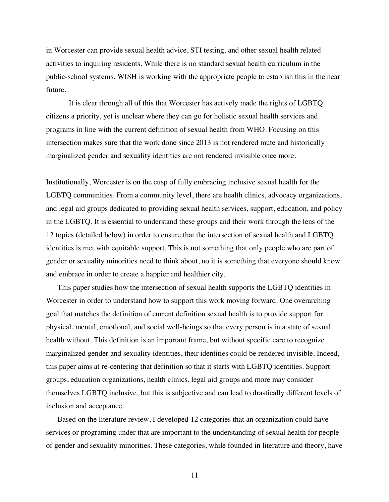in Worcester can provide sexual health advice, STI testing, and other sexual health related activities to inquiring residents. While there is no standard sexual health curriculum in the public-school systems, WISH is working with the appropriate people to establish this in the near future.

It is clear through all of this that Worcester has actively made the rights of LGBTQ citizens a priority, yet is unclear where they can go for holistic sexual health services and programs in line with the current definition of sexual health from WHO. Focusing on this intersection makes sure that the work done since 2013 is not rendered mute and historically marginalized gender and sexuality identities are not rendered invisible once more.

Institutionally, Worcester is on the cusp of fully embracing inclusive sexual health for the LGBTQ communities. From a community level, there are health clinics, advocacy organizations, and legal aid groups dedicated to providing sexual health services, support, education, and policy in the LGBTQ. It is essential to understand these groups and their work through the lens of the 12 topics (detailed below) in order to ensure that the intersection of sexual health and LGBTQ identities is met with equitable support. This is not something that only people who are part of gender or sexuality minorities need to think about, no it is something that everyone should know and embrace in order to create a happier and healthier city.

This paper studies how the intersection of sexual health supports the LGBTQ identities in Worcester in order to understand how to support this work moving forward. One overarching goal that matches the definition of current definition sexual health is to provide support for physical, mental, emotional, and social well-beings so that every person is in a state of sexual health without. This definition is an important frame, but without specific care to recognize marginalized gender and sexuality identities, their identities could be rendered invisible. Indeed, this paper aims at re-centering that definition so that it starts with LGBTQ identities. Support groups, education organizations, health clinics, legal aid groups and more may consider themselves LGBTQ inclusive, but this is subjective and can lead to drastically different levels of inclusion and acceptance.

Based on the literature review, I developed 12 categories that an organization could have services or programing under that are important to the understanding of sexual health for people of gender and sexuality minorities. These categories, while founded in literature and theory, have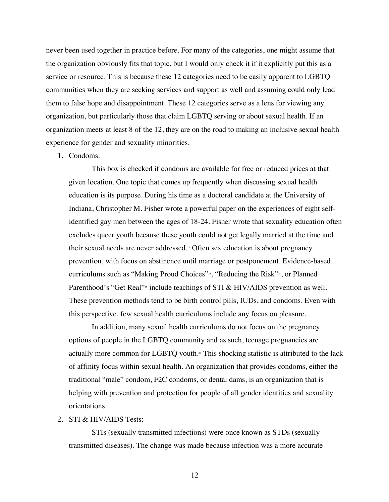never been used together in practice before. For many of the categories, one might assume that the organization obviously fits that topic, but I would only check it if it explicitly put this as a service or resource. This is because these 12 categories need to be easily apparent to LGBTQ communities when they are seeking services and support as well and assuming could only lead them to false hope and disappointment. These 12 categories serve as a lens for viewing any organization, but particularly those that claim LGBTQ serving or about sexual health. If an organization meets at least 8 of the 12, they are on the road to making an inclusive sexual health experience for gender and sexuality minorities.

1. Condoms:

This box is checked if condoms are available for free or reduced prices at that given location. One topic that comes up frequently when discussing sexual health education is its purpose. During his time as a doctoral candidate at the University of Indiana, Christopher M. Fisher wrote a powerful paper on the experiences of eight selfidentified gay men between the ages of 18-24. Fisher wrote that sexuality education often excludes queer youth because these youth could not get legally married at the time and their sexual needs are never addressed.<sup>22</sup> Often sex education is about pregnancy prevention, with focus on abstinence until marriage or postponement. Evidence-based curriculums such as "Making Proud Choices"<sup>23</sup>, "Reducing the Risk"<sup>24</sup>, or Planned Parenthood's "Get Real"<sup>25</sup> include teachings of STI & HIV/AIDS prevention as well. These prevention methods tend to be birth control pills, IUDs, and condoms. Even with this perspective, few sexual health curriculums include any focus on pleasure.

In addition, many sexual health curriculums do not focus on the pregnancy options of people in the LGBTQ community and as such, teenage pregnancies are actually more common for LGBTQ youth.<sup>36</sup> This shocking statistic is attributed to the lack of affinity focus within sexual health. An organization that provides condoms, either the traditional "male" condom, F2C condoms, or dental dams, is an organization that is helping with prevention and protection for people of all gender identities and sexuality orientations.

#### 2. STI & HIV/AIDS Tests:

STIs (sexually transmitted infections) were once known as STDs (sexually transmitted diseases). The change was made because infection was a more accurate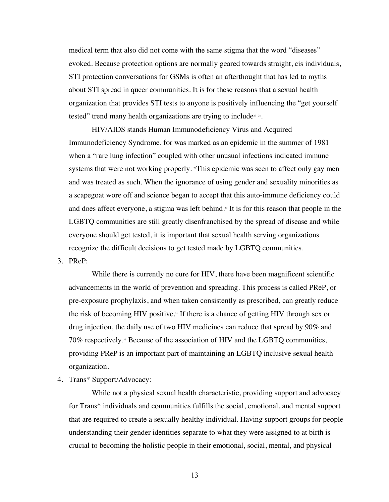medical term that also did not come with the same stigma that the word "diseases" evoked. Because protection options are normally geared towards straight, cis individuals, STI protection conversations for GSMs is often an afterthought that has led to myths about STI spread in queer communities. It is for these reasons that a sexual health organization that provides STI tests to anyone is positively influencing the "get yourself tested" trend many health organizations are trying to include<sup>27</sup> <sup>28</sup>.

HIV/AIDS stands Human Immunodeficiency Virus and Acquired Immunodeficiency Syndrome. for was marked as an epidemic in the summer of 1981 when a "rare lung infection" coupled with other unusual infections indicated immune systems that were not working properly.  $\mathbb{F}$ This epidemic was seen to affect only gay men and was treated as such. When the ignorance of using gender and sexuality minorities as a scapegoat wore off and science began to accept that this auto-immune deficiency could and does affect everyone, a stigma was left behind.<sup>®</sup> It is for this reason that people in the LGBTQ communities are still greatly disenfranchised by the spread of disease and while everyone should get tested, it is important that sexual health serving organizations recognize the difficult decisions to get tested made by LGBTQ communities.

3. PReP:

While there is currently no cure for HIV, there have been magnificent scientific advancements in the world of prevention and spreading. This process is called PReP, or pre-exposure prophylaxis, and when taken consistently as prescribed, can greatly reduce the risk of becoming HIV positive.31 If there is a chance of getting HIV through sex or drug injection, the daily use of two HIV medicines can reduce that spread by 90% and  $70\%$  respectively.<sup>32</sup> Because of the association of HIV and the LGBTQ communities, providing PReP is an important part of maintaining an LGBTQ inclusive sexual health organization.

4. Trans\* Support/Advocacy:

While not a physical sexual health characteristic, providing support and advocacy for Trans\* individuals and communities fulfills the social, emotional, and mental support that are required to create a sexually healthy individual. Having support groups for people understanding their gender identities separate to what they were assigned to at birth is crucial to becoming the holistic people in their emotional, social, mental, and physical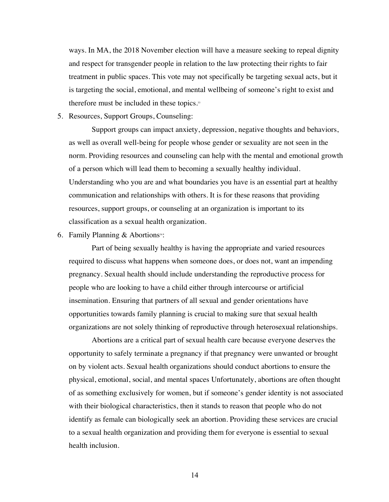ways. In MA, the 2018 November election will have a measure seeking to repeal dignity and respect for transgender people in relation to the law protecting their rights to fair treatment in public spaces. This vote may not specifically be targeting sexual acts, but it is targeting the social, emotional, and mental wellbeing of someone's right to exist and therefore must be included in these topics.<sup>33</sup>

5. Resources, Support Groups, Counseling:

Support groups can impact anxiety, depression, negative thoughts and behaviors, as well as overall well-being for people whose gender or sexuality are not seen in the norm. Providing resources and counseling can help with the mental and emotional growth of a person which will lead them to becoming a sexually healthy individual. Understanding who you are and what boundaries you have is an essential part at healthy communication and relationships with others. It is for these reasons that providing resources, support groups, or counseling at an organization is important to its classification as a sexual health organization.

6. Family Planning  $&$  Abortions<sup>34</sup>:

Part of being sexually healthy is having the appropriate and varied resources required to discuss what happens when someone does, or does not, want an impending pregnancy. Sexual health should include understanding the reproductive process for people who are looking to have a child either through intercourse or artificial insemination. Ensuring that partners of all sexual and gender orientations have opportunities towards family planning is crucial to making sure that sexual health organizations are not solely thinking of reproductive through heterosexual relationships.

Abortions are a critical part of sexual health care because everyone deserves the opportunity to safely terminate a pregnancy if that pregnancy were unwanted or brought on by violent acts. Sexual health organizations should conduct abortions to ensure the physical, emotional, social, and mental spaces Unfortunately, abortions are often thought of as something exclusively for women, but if someone's gender identity is not associated with their biological characteristics, then it stands to reason that people who do not identify as female can biologically seek an abortion. Providing these services are crucial to a sexual health organization and providing them for everyone is essential to sexual health inclusion.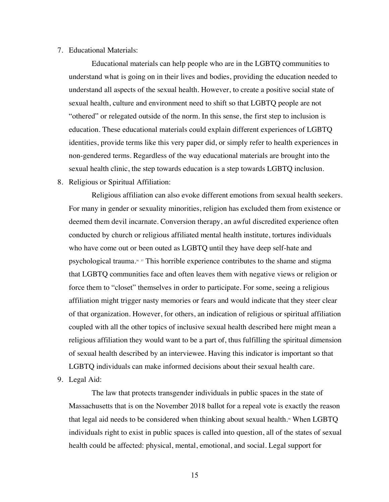#### 7. Educational Materials:

Educational materials can help people who are in the LGBTQ communities to understand what is going on in their lives and bodies, providing the education needed to understand all aspects of the sexual health. However, to create a positive social state of sexual health, culture and environment need to shift so that LGBTQ people are not "othered" or relegated outside of the norm. In this sense, the first step to inclusion is education. These educational materials could explain different experiences of LGBTQ identities, provide terms like this very paper did, or simply refer to health experiences in non-gendered terms. Regardless of the way educational materials are brought into the sexual health clinic, the step towards education is a step towards LGBTQ inclusion.

8. Religious or Spiritual Affiliation:

Religious affiliation can also evoke different emotions from sexual health seekers. For many in gender or sexuality minorities, religion has excluded them from existence or deemed them devil incarnate. Conversion therapy, an awful discredited experience often conducted by church or religious affiliated mental health institute, tortures individuals who have come out or been outed as LGBTQ until they have deep self-hate and psychological trauma.36 <sup>37</sup> This horrible experience contributes to the shame and stigma that LGBTQ communities face and often leaves them with negative views or religion or force them to "closet" themselves in order to participate. For some, seeing a religious affiliation might trigger nasty memories or fears and would indicate that they steer clear of that organization. However, for others, an indication of religious or spiritual affiliation coupled with all the other topics of inclusive sexual health described here might mean a religious affiliation they would want to be a part of, thus fulfilling the spiritual dimension of sexual health described by an interviewee. Having this indicator is important so that LGBTQ individuals can make informed decisions about their sexual health care.

9. Legal Aid:

The law that protects transgender individuals in public spaces in the state of Massachusetts that is on the November 2018 ballot for a repeal vote is exactly the reason that legal aid needs to be considered when thinking about sexual health.<sup>38</sup> When LGBTQ individuals right to exist in public spaces is called into question, all of the states of sexual health could be affected: physical, mental, emotional, and social. Legal support for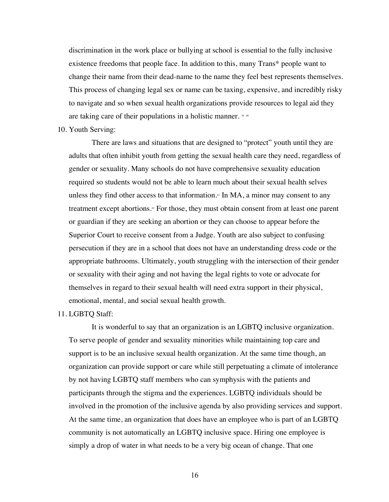discrimination in the work place or bullying at school is essential to the fully inclusive existence freedoms that people face. In addition to this, many Trans\* people want to change their name from their dead-name to the name they feel best represents themselves. This process of changing legal sex or name can be taxing, expensive, and incredibly risky to navigate and so when sexual health organizations provide resources to legal aid they are taking care of their populations in a holistic manner. <sup>39</sup> <sup>40</sup>

10. Youth Serving:

There are laws and situations that are designed to "protect" youth until they are adults that often inhibit youth from getting the sexual health care they need, regardless of gender or sexuality. Many schools do not have comprehensive sexuality education required so students would not be able to learn much about their sexual health selves unless they find other access to that information.<sup>41</sup> In MA, a minor may consent to any treatment except abortions.<sup>42</sup> For those, they must obtain consent from at least one parent or guardian if they are seeking an abortion or they can choose to appear before the Superior Court to receive consent from a Judge. Youth are also subject to confusing persecution if they are in a school that does not have an understanding dress code or the appropriate bathrooms. Ultimately, youth struggling with the intersection of their gender or sexuality with their aging and not having the legal rights to vote or advocate for themselves in regard to their sexual health will need extra support in their physical, emotional, mental, and social sexual health growth.

#### 11. LGBTQ Staff:

It is wonderful to say that an organization is an LGBTQ inclusive organization. To serve people of gender and sexuality minorities while maintaining top care and support is to be an inclusive sexual health organization. At the same time though, an organization can provide support or care while still perpetuating a climate of intolerance by not having LGBTQ staff members who can symphysis with the patients and participants through the stigma and the experiences. LGBTQ individuals should be involved in the promotion of the inclusive agenda by also providing services and support. At the same time, an organization that does have an employee who is part of an LGBTQ community is not automatically an LGBTQ inclusive space. Hiring one employee is simply a drop of water in what needs to be a very big ocean of change. That one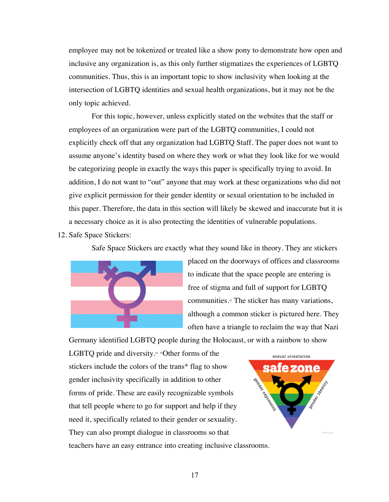employee may not be tokenized or treated like a show pony to demonstrate how open and inclusive any organization is, as this only further stigmatizes the experiences of LGBTQ communities. Thus, this is an important topic to show inclusivity when looking at the intersection of LGBTQ identities and sexual health organizations, but it may not be the only topic achieved.

For this topic, however, unless explicitly stated on the websites that the staff or employees of an organization were part of the LGBTQ communities, I could not explicitly check off that any organization had LGBTQ Staff. The paper does not want to assume anyone's identity based on where they work or what they look like for we would be categorizing people in exactly the ways this paper is specifically trying to avoid. In addition, I do not want to "out" anyone that may work at these organizations who did not give explicit permission for their gender identity or sexual orientation to be included in this paper. Therefore, the data in this section will likely be skewed and inaccurate but it is a necessary choice as it is also protecting the identities of vulnerable populations.

12. Safe Space Stickers:

Safe Space Stickers are exactly what they sound like in theory. They are stickers



placed on the doorways of offices and classrooms to indicate that the space people are entering is free of stigma and full of support for LGBTQ communities.43 The sticker has many variations, although a common sticker is pictured here. They often have a triangle to reclaim the way that Nazi

Germany identified LGBTQ people during the Holocaust, or with a rainbow to show

LGBTQ pride and diversity. $445$  +  $45$ Other forms of the stickers include the colors of the trans\* flag to show gender inclusivity specifically in addition to other forms of pride. These are easily recognizable symbols that tell people where to go for support and help if they need it, specifically related to their gender or sexuality. They can also prompt dialogue in classrooms so that teachers have an easy entrance into creating inclusive classrooms.

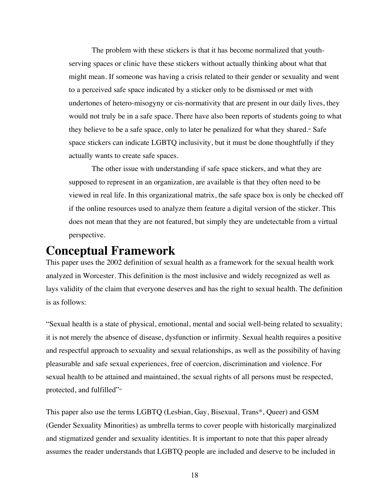The problem with these stickers is that it has become normalized that youthserving spaces or clinic have these stickers without actually thinking about what that might mean. If someone was having a crisis related to their gender or sexuality and went to a perceived safe space indicated by a sticker only to be dismissed or met with undertones of hetero-misogyny or cis-normativity that are present in our daily lives, they would not truly be in a safe space. There have also been reports of students going to what they believe to be a safe space, only to later be penalized for what they shared.<sup>46</sup> Safe space stickers can indicate LGBTQ inclusivity, but it must be done thoughtfully if they actually wants to create safe spaces.

The other issue with understanding if safe space stickers, and what they are supposed to represent in an organization, are available is that they often need to be viewed in real life. In this organizational matrix, the safe space box is only be checked off if the online resources used to analyze them feature a digital version of the sticker. This does not mean that they are not featured, but simply they are undetectable from a virtual perspective.

## **Conceptual Framework**

This paper uses the 2002 definition of sexual health as a framework for the sexual health work analyzed in Worcester. This definition is the most inclusive and widely recognized as well as lays validity of the claim that everyone deserves and has the right to sexual health. The definition is as follows:

"Sexual health is a state of physical, emotional, mental and social well-being related to sexuality; it is not merely the absence of disease, dysfunction or infirmity. Sexual health requires a positive and respectful approach to sexuality and sexual relationships, as well as the possibility of having pleasurable and safe sexual experiences, free of coercion, discrimination and violence. For sexual health to be attained and maintained, the sexual rights of all persons must be respected, protected, and fulfilled"48

This paper also use the terms LGBTQ (Lesbian, Gay, Bisexual, Trans\*, Queer) and GSM (Gender Sexuality Minorities) as umbrella terms to cover people with historically marginalized and stigmatized gender and sexuality identities. It is important to note that this paper already assumes the reader understands that LGBTQ people are included and deserve to be included in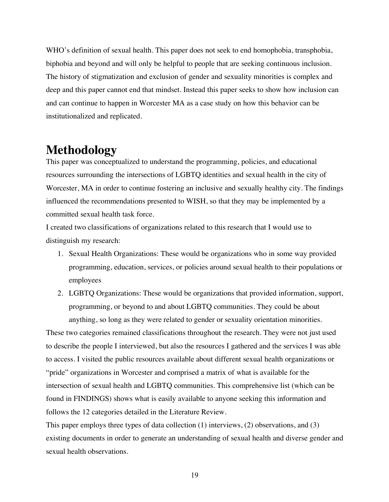WHO's definition of sexual health. This paper does not seek to end homophobia, transphobia, biphobia and beyond and will only be helpful to people that are seeking continuous inclusion. The history of stigmatization and exclusion of gender and sexuality minorities is complex and deep and this paper cannot end that mindset. Instead this paper seeks to show how inclusion can and can continue to happen in Worcester MA as a case study on how this behavior can be institutionalized and replicated.

## **Methodology**

This paper was conceptualized to understand the programming, policies, and educational resources surrounding the intersections of LGBTQ identities and sexual health in the city of Worcester, MA in order to continue fostering an inclusive and sexually healthy city. The findings influenced the recommendations presented to WISH, so that they may be implemented by a committed sexual health task force.

I created two classifications of organizations related to this research that I would use to distinguish my research:

- 1. Sexual Health Organizations: These would be organizations who in some way provided programming, education, services, or policies around sexual health to their populations or employees
- 2. LGBTQ Organizations: These would be organizations that provided information, support, programming, or beyond to and about LGBTQ communities. They could be about anything, so long as they were related to gender or sexuality orientation minorities.

These two categories remained classifications throughout the research. They were not just used to describe the people I interviewed, but also the resources I gathered and the services I was able to access. I visited the public resources available about different sexual health organizations or "pride" organizations in Worcester and comprised a matrix of what is available for the intersection of sexual health and LGBTQ communities. This comprehensive list (which can be found in FINDINGS) shows what is easily available to anyone seeking this information and follows the 12 categories detailed in the Literature Review.

This paper employs three types of data collection (1) interviews, (2) observations, and (3) existing documents in order to generate an understanding of sexual health and diverse gender and sexual health observations.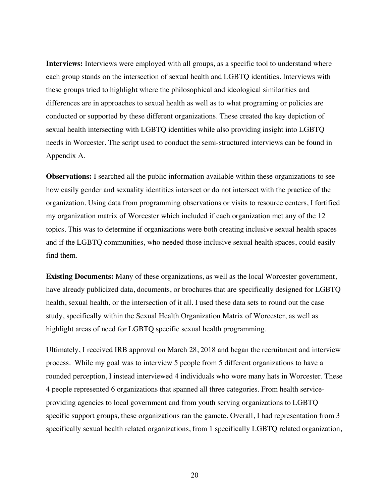**Interviews:** Interviews were employed with all groups, as a specific tool to understand where each group stands on the intersection of sexual health and LGBTQ identities. Interviews with these groups tried to highlight where the philosophical and ideological similarities and differences are in approaches to sexual health as well as to what programing or policies are conducted or supported by these different organizations. These created the key depiction of sexual health intersecting with LGBTQ identities while also providing insight into LGBTQ needs in Worcester. The script used to conduct the semi-structured interviews can be found in Appendix A.

**Observations:** I searched all the public information available within these organizations to see how easily gender and sexuality identities intersect or do not intersect with the practice of the organization. Using data from programming observations or visits to resource centers, I fortified my organization matrix of Worcester which included if each organization met any of the 12 topics. This was to determine if organizations were both creating inclusive sexual health spaces and if the LGBTQ communities, who needed those inclusive sexual health spaces, could easily find them.

**Existing Documents:** Many of these organizations, as well as the local Worcester government, have already publicized data, documents, or brochures that are specifically designed for LGBTQ health, sexual health, or the intersection of it all. I used these data sets to round out the case study, specifically within the Sexual Health Organization Matrix of Worcester, as well as highlight areas of need for LGBTQ specific sexual health programming.

Ultimately, I received IRB approval on March 28, 2018 and began the recruitment and interview process. While my goal was to interview 5 people from 5 different organizations to have a rounded perception, I instead interviewed 4 individuals who wore many hats in Worcester. These 4 people represented 6 organizations that spanned all three categories. From health serviceproviding agencies to local government and from youth serving organizations to LGBTQ specific support groups, these organizations ran the gamete. Overall, I had representation from 3 specifically sexual health related organizations, from 1 specifically LGBTQ related organization,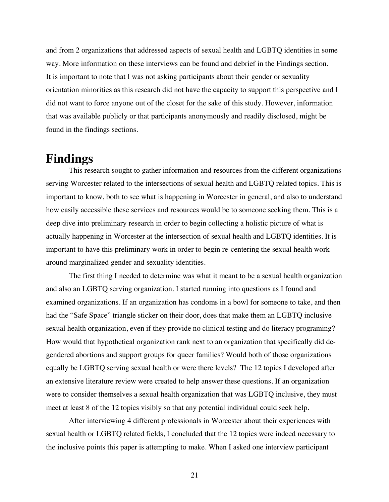and from 2 organizations that addressed aspects of sexual health and LGBTQ identities in some way. More information on these interviews can be found and debrief in the Findings section. It is important to note that I was not asking participants about their gender or sexuality orientation minorities as this research did not have the capacity to support this perspective and I did not want to force anyone out of the closet for the sake of this study. However, information that was available publicly or that participants anonymously and readily disclosed, might be found in the findings sections.

### **Findings**

This research sought to gather information and resources from the different organizations serving Worcester related to the intersections of sexual health and LGBTQ related topics. This is important to know, both to see what is happening in Worcester in general, and also to understand how easily accessible these services and resources would be to someone seeking them. This is a deep dive into preliminary research in order to begin collecting a holistic picture of what is actually happening in Worcester at the intersection of sexual health and LGBTQ identities. It is important to have this preliminary work in order to begin re-centering the sexual health work around marginalized gender and sexuality identities.

The first thing I needed to determine was what it meant to be a sexual health organization and also an LGBTQ serving organization. I started running into questions as I found and examined organizations. If an organization has condoms in a bowl for someone to take, and then had the "Safe Space" triangle sticker on their door, does that make them an LGBTQ inclusive sexual health organization, even if they provide no clinical testing and do literacy programing? How would that hypothetical organization rank next to an organization that specifically did degendered abortions and support groups for queer families? Would both of those organizations equally be LGBTQ serving sexual health or were there levels? The 12 topics I developed after an extensive literature review were created to help answer these questions. If an organization were to consider themselves a sexual health organization that was LGBTQ inclusive, they must meet at least 8 of the 12 topics visibly so that any potential individual could seek help.

After interviewing 4 different professionals in Worcester about their experiences with sexual health or LGBTQ related fields, I concluded that the 12 topics were indeed necessary to the inclusive points this paper is attempting to make. When I asked one interview participant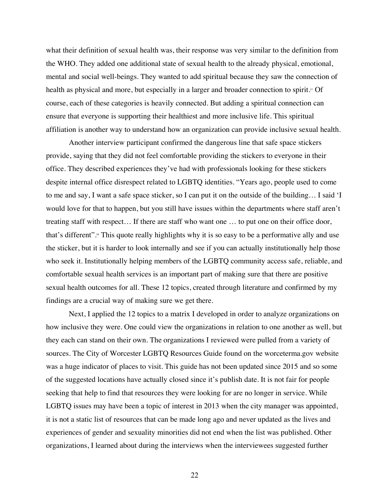what their definition of sexual health was, their response was very similar to the definition from the WHO. They added one additional state of sexual health to the already physical, emotional, mental and social well-beings. They wanted to add spiritual because they saw the connection of health as physical and more, but especially in a larger and broader connection to spirit.<sup> $5$ </sup> Of course, each of these categories is heavily connected. But adding a spiritual connection can ensure that everyone is supporting their healthiest and more inclusive life. This spiritual affiliation is another way to understand how an organization can provide inclusive sexual health.

Another interview participant confirmed the dangerous line that safe space stickers provide, saying that they did not feel comfortable providing the stickers to everyone in their office. They described experiences they've had with professionals looking for these stickers despite internal office disrespect related to LGBTQ identities. "Years ago, people used to come to me and say, I want a safe space sticker, so I can put it on the outside of the building… I said 'I would love for that to happen, but you still have issues within the departments where staff aren't treating staff with respect… If there are staff who want one … to put one on their office door, that's different".<sup>58</sup> This quote really highlights why it is so easy to be a performative ally and use the sticker, but it is harder to look internally and see if you can actually institutionally help those who seek it. Institutionally helping members of the LGBTQ community access safe, reliable, and comfortable sexual health services is an important part of making sure that there are positive sexual health outcomes for all. These 12 topics, created through literature and confirmed by my findings are a crucial way of making sure we get there.

Next, I applied the 12 topics to a matrix I developed in order to analyze organizations on how inclusive they were. One could view the organizations in relation to one another as well, but they each can stand on their own. The organizations I reviewed were pulled from a variety of sources. The City of Worcester LGBTQ Resources Guide found on the worceterma.gov website was a huge indicator of places to visit. This guide has not been updated since 2015 and so some of the suggested locations have actually closed since it's publish date. It is not fair for people seeking that help to find that resources they were looking for are no longer in service. While LGBTQ issues may have been a topic of interest in 2013 when the city manager was appointed, it is not a static list of resources that can be made long ago and never updated as the lives and experiences of gender and sexuality minorities did not end when the list was published. Other organizations, I learned about during the interviews when the interviewees suggested further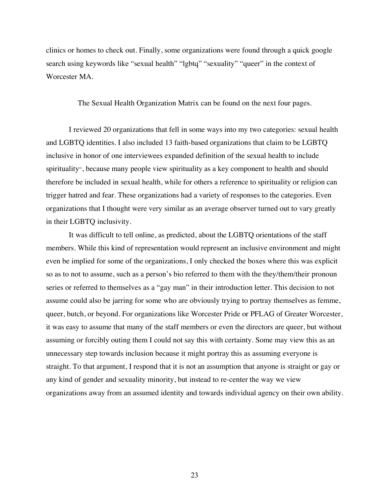clinics or homes to check out. Finally, some organizations were found through a quick google search using keywords like "sexual health" "lgbtq" "sexuality" "queer" in the context of Worcester MA.

The Sexual Health Organization Matrix can be found on the next four pages.

I reviewed 20 organizations that fell in some ways into my two categories: sexual health and LGBTQ identities. I also included 13 faith-based organizations that claim to be LGBTQ inclusive in honor of one interviewees expanded definition of the sexual health to include spirituality<sup>9</sup>, because many people view spirituality as a key component to health and should therefore be included in sexual health, while for others a reference to spirituality or religion can trigger hatred and fear. These organizations had a variety of responses to the categories. Even organizations that I thought were very similar as an average observer turned out to vary greatly in their LGBTQ inclusivity.

It was difficult to tell online, as predicted, about the LGBTQ orientations of the staff members. While this kind of representation would represent an inclusive environment and might even be implied for some of the organizations, I only checked the boxes where this was explicit so as to not to assume, such as a person's bio referred to them with the they/them/their pronoun series or referred to themselves as a "gay man" in their introduction letter. This decision to not assume could also be jarring for some who are obviously trying to portray themselves as femme, queer, butch, or beyond. For organizations like Worcester Pride or PFLAG of Greater Worcester, it was easy to assume that many of the staff members or even the directors are queer, but without assuming or forcibly outing them I could not say this with certainty. Some may view this as an unnecessary step towards inclusion because it might portray this as assuming everyone is straight. To that argument, I respond that it is not an assumption that anyone is straight or gay or any kind of gender and sexuality minority, but instead to re-center the way we view organizations away from an assumed identity and towards individual agency on their own ability.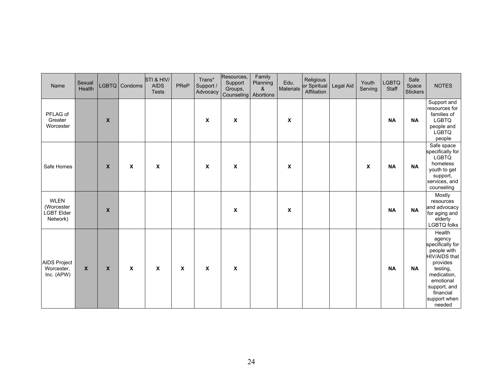| Name                                                       | Sexual<br>Health |                           | LGBTQ Condoms             | STI & HIV/<br><b>AIDS</b><br><b>Tests</b> | PReP        | Trans*<br>Support /<br>Advocacy | Resources,<br>Support<br>Groups,<br>Counseling | Family<br>Planning<br>&<br>Abortions | Edu.<br>Materials | Religious<br>or Spiritual<br>Affiliation | Legal Aid | Youth<br>Serving | <b>LGBTQ</b><br>Staff | Safe<br>Space<br><b>Stickers</b> | <b>NOTES</b>                                                                                                                                                                    |
|------------------------------------------------------------|------------------|---------------------------|---------------------------|-------------------------------------------|-------------|---------------------------------|------------------------------------------------|--------------------------------------|-------------------|------------------------------------------|-----------|------------------|-----------------------|----------------------------------|---------------------------------------------------------------------------------------------------------------------------------------------------------------------------------|
| PFLAG of<br>Greater<br>Worcester                           |                  | $\pmb{\mathsf{X}}$        |                           |                                           |             | X                               | $\boldsymbol{\mathsf{X}}$                      |                                      | X                 |                                          |           |                  | <b>NA</b>             | <b>NA</b>                        | Support and<br>resources for<br>families of<br><b>LGBTQ</b><br>people and<br><b>LGBTQ</b><br>people                                                                             |
| Safe Homes                                                 |                  | $\boldsymbol{\mathsf{X}}$ | X                         | X                                         |             | X                               | X                                              |                                      | X                 |                                          |           | X                | <b>NA</b>             | <b>NA</b>                        | Safe space<br>specifically for<br><b>LGBTQ</b><br>homeless<br>youth to get<br>support,<br>services, and<br>counseling                                                           |
| <b>WLEN</b><br>(Worcester<br><b>LGBT Elder</b><br>Network) |                  | $\boldsymbol{X}$          |                           |                                           |             |                                 | X                                              |                                      | X                 |                                          |           |                  | <b>NA</b>             | <b>NA</b>                        | Mostly<br>resources<br>and advocacy<br>for aging and<br>elderly<br><b>LGBTQ</b> folks                                                                                           |
| AIDS Project<br>Worcester,<br>Inc. (APW)                   | X                | $\pmb{\mathsf{X}}$        | $\boldsymbol{\mathsf{x}}$ | $\mathsf{x}$                              | $\mathbf x$ | $\boldsymbol{\mathsf{x}}$       | X                                              |                                      |                   |                                          |           |                  | <b>NA</b>             | <b>NA</b>                        | Health<br>agency<br>specifically for<br>people with<br>HIV/AIDS that<br>provides<br>testing,<br>medication,<br>emotional<br>support, and<br>financial<br>support when<br>needed |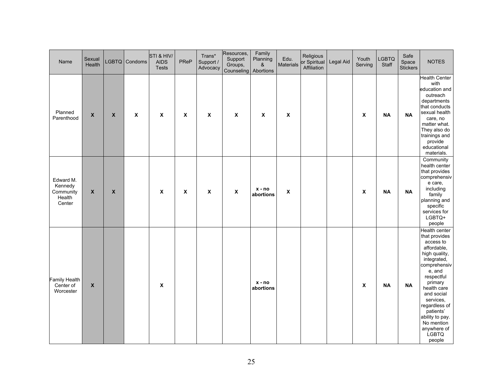| Name                                                  | Sexual<br>Health   |                    | LGBTQ Condoms      | STI & HIV/<br><b>AIDS</b><br><b>Tests</b> | PReP         | Trans*<br>Support /<br>Advocacy | Resources,<br>Support<br>Groups,<br>Counseling Abortions | Family<br>Planning<br>& | Edu.<br>Materials  | Religious<br>or Spiritual<br>Affiliation | Legal Aid | Youth<br>Serving   | <b>LGBTQ</b><br>Staff | Safe<br>Space<br>Stickers | <b>NOTES</b>                                                                                                                                                                                                                                                                                    |
|-------------------------------------------------------|--------------------|--------------------|--------------------|-------------------------------------------|--------------|---------------------------------|----------------------------------------------------------|-------------------------|--------------------|------------------------------------------|-----------|--------------------|-----------------------|---------------------------|-------------------------------------------------------------------------------------------------------------------------------------------------------------------------------------------------------------------------------------------------------------------------------------------------|
| Planned<br>Parenthood                                 | $\boldsymbol{x}$   | $\pmb{\mathsf{X}}$ | $\pmb{\mathsf{X}}$ | $\boldsymbol{\mathsf{x}}$                 | $\pmb{\chi}$ | $\boldsymbol{\mathsf{x}}$       | $\boldsymbol{\mathsf{X}}$                                | $\pmb{\chi}$            | $\pmb{\mathsf{x}}$ |                                          |           | $\pmb{\chi}$       | <b>NA</b>             | <b>NA</b>                 | Health Center<br>with<br>education and<br>outreach<br>departments<br>that conducts<br>sexual health<br>care, no<br>matter what.<br>They also do<br>trainings and<br>provide<br>educational<br>materials.                                                                                        |
| Edward M.<br>Kennedy<br>Community<br>Health<br>Center | $\pmb{\mathsf{x}}$ | $\pmb{\mathsf{X}}$ |                    | $\boldsymbol{\mathsf{X}}$                 | $\pmb{\chi}$ | $\pmb{\chi}$                    | $\boldsymbol{\mathsf{X}}$                                | $x - no$<br>abortions   | $\pmb{\mathsf{X}}$ |                                          |           | $\pmb{\mathsf{X}}$ | <b>NA</b>             | $\sf NA$                  | Community<br>health center<br>that provides<br>comprehensiv<br>e care,<br>including<br>family<br>planning and<br>specific<br>services for<br>LGBTQ+<br>people                                                                                                                                   |
| Family Health<br>Center of<br>Worcester               | $\boldsymbol{x}$   |                    |                    | $\pmb{\mathsf{x}}$                        |              |                                 |                                                          | $x - no$<br>abortions   |                    |                                          |           | $\pmb{\mathsf{x}}$ | <b>NA</b>             | <b>NA</b>                 | Health center<br>that provides<br>access to<br>affordable,<br>high quality,<br>integrated,<br>comprehensiv<br>e, and<br>respectful<br>primary<br>health care<br>and social<br>services,<br>regardless of<br>patients'<br>ability to pay.<br>No mention<br>anywhere of<br><b>LGBTQ</b><br>people |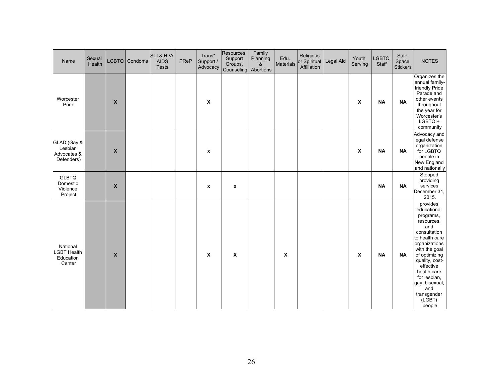| Name                                                 | Sexual<br>Health |                           | LGBTQ Condoms | STI & HIV/<br><b>AIDS</b><br><b>Tests</b> | PReP | Trans*<br>Support /<br>Advocacy | Resources,<br>Support<br>Groups,<br>Counseling | Family<br>Planning<br>&<br>Abortions | Edu.<br>Materials | Religious<br>or Spiritual<br>Affiliation | Legal Aid | Youth<br>Serving | <b>LGBTQ</b><br>Staff | Safe<br>Space<br><b>Stickers</b> | <b>NOTES</b>                                                                                                                                                                                                                                                                     |
|------------------------------------------------------|------------------|---------------------------|---------------|-------------------------------------------|------|---------------------------------|------------------------------------------------|--------------------------------------|-------------------|------------------------------------------|-----------|------------------|-----------------------|----------------------------------|----------------------------------------------------------------------------------------------------------------------------------------------------------------------------------------------------------------------------------------------------------------------------------|
| Worcester<br>Pride                                   |                  | $\boldsymbol{\mathsf{x}}$ |               |                                           |      | $\pmb{\chi}$                    |                                                |                                      |                   |                                          |           | X                | <b>NA</b>             | <b>NA</b>                        | Organizes the<br>annual family-<br>friendly Pride<br>Parade and<br>other events<br>throughout<br>the year for<br>Worcester's<br>LGBTQI+<br>community                                                                                                                             |
| GLAD (Gay &<br>Lesbian<br>Advocates &<br>Defenders)  |                  | $\boldsymbol{\mathsf{x}}$ |               |                                           |      | $\pmb{\chi}$                    |                                                |                                      |                   |                                          |           | $\pmb{\chi}$     | <b>NA</b>             | <b>NA</b>                        | Advocacy and<br>legal defense<br>organization<br>for LGBTQ<br>people in<br>New England<br>and nationally                                                                                                                                                                         |
| <b>GLBTQ</b><br>Domestic<br>Violence<br>Project      |                  | X                         |               |                                           |      | $\pmb{\chi}$                    | $\pmb{\chi}$                                   |                                      |                   |                                          |           |                  | <b>NA</b>             | <b>NA</b>                        | Stopped<br>providing<br>services<br>December 31,<br>2015.                                                                                                                                                                                                                        |
| National<br><b>GBT Health</b><br>Education<br>Center |                  | $\boldsymbol{\mathsf{x}}$ |               |                                           |      | $\boldsymbol{\mathsf{x}}$       | $\boldsymbol{\mathsf{x}}$                      |                                      | X                 |                                          |           | $\pmb{\chi}$     | <b>NA</b>             | <b>NA</b>                        | provides<br>educational<br>programs,<br>resources,<br>and<br>consultation<br>to health care<br>organizations<br>with the goal<br>of optimizing<br>quality, cost-<br>effective<br>health care<br>for lesbian,<br>gay, bisexual,<br>and<br>transgender<br>$(L\bar{G}BT)$<br>people |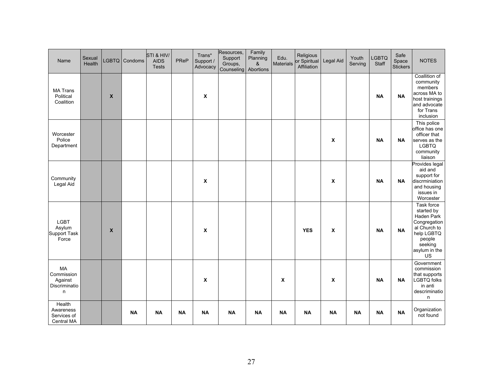| Name                                              | Sexual<br>Health | <b>LGBTQ</b> | Condoms   | STI & HIV/<br><b>AIDS</b><br><b>Tests</b> | PReP      | Trans*<br>Support /<br>Advocacy | Resources,<br>Support<br>Groups,<br>Counseling | Family<br>Planning<br>&<br>Abortions | Edu.<br>Materials | Religious<br>or Spiritual<br>Affiliation | Legal Aid                 | Youth<br>Serving | <b>LGBTQ</b><br>Staff | Safe<br>Space<br><b>Stickers</b> | <b>NOTES</b>                                                                                                                     |
|---------------------------------------------------|------------------|--------------|-----------|-------------------------------------------|-----------|---------------------------------|------------------------------------------------|--------------------------------------|-------------------|------------------------------------------|---------------------------|------------------|-----------------------|----------------------------------|----------------------------------------------------------------------------------------------------------------------------------|
| <b>MA Trans</b><br>Political<br>Coalition         |                  | X            |           |                                           |           | $\boldsymbol{\mathsf{x}}$       |                                                |                                      |                   |                                          |                           |                  | <b>NA</b>             | <b>NA</b>                        | Coallition of<br>community<br>members<br>across MA to<br>host trainings<br>and advocate<br>for Trans<br>inclusion                |
| Worcester<br>Police<br>Department                 |                  |              |           |                                           |           |                                 |                                                |                                      |                   |                                          | X                         |                  | <b>NA</b>             | <b>NA</b>                        | This police<br>office has one<br>officer that<br>serves as the<br><b>LGBTQ</b><br>community<br>liaison                           |
| Community<br>Legal Aid                            |                  |              |           |                                           |           | $\boldsymbol{\mathsf{x}}$       |                                                |                                      |                   |                                          | X                         |                  | <b>NA</b>             | <b>NA</b>                        | Provides legal<br>aid and<br>support for<br>discrminiation<br>and housing<br>issues in<br>Worcester                              |
| <b>LGBT</b><br>Asylum<br>Support Task<br>Force    |                  | X            |           |                                           |           | $\boldsymbol{\mathsf{x}}$       |                                                |                                      |                   | <b>YES</b>                               | $\pmb{\chi}$              |                  | <b>NA</b>             | <b>NA</b>                        | Task force<br>started by<br>Haden Park<br>Congregation<br>al Church to<br>help LGBTQ<br>people<br>seeking<br>asylum in the<br>US |
| MA<br>Commission<br>Against<br>Discriminatio<br>n |                  |              |           |                                           |           | $\boldsymbol{\mathsf{x}}$       |                                                |                                      | X                 |                                          | $\boldsymbol{\mathsf{x}}$ |                  | <b>NA</b>             | <b>NA</b>                        | Government<br>commission<br>that supports<br><b>LGBTQ</b> folks<br>in anti<br>descriminatio<br>n                                 |
| Health<br>Awareness<br>Services of<br>Central MA  |                  |              | <b>NA</b> | <b>NA</b>                                 | <b>NA</b> | <b>NA</b>                       | <b>NA</b>                                      | <b>NA</b>                            | <b>NA</b>         | <b>NA</b>                                | <b>NA</b>                 | <b>NA</b>        | <b>NA</b>             | <b>NA</b>                        | Organization<br>not found                                                                                                        |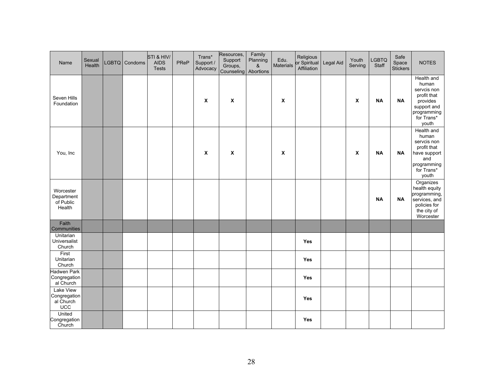| Name                                           | Sexual<br>Health | LGBTQ Condoms | STI & HIV/<br><b>AIDS</b><br><b>Tests</b> | PReP | Trans*<br>Support /<br>Advocacy | Resources,<br>Support<br>Groups,<br>Counseling | Family<br>Planning<br>&<br>Abortions | Edu.<br><b>Materials</b>  | Religious<br>or Spiritual<br>Affiliation | Legal Aid | Youth<br>Serving          | <b>LGBTQ</b><br>Staff | Safe<br>Space<br><b>Stickers</b> | <b>NOTES</b>                                                                                                       |
|------------------------------------------------|------------------|---------------|-------------------------------------------|------|---------------------------------|------------------------------------------------|--------------------------------------|---------------------------|------------------------------------------|-----------|---------------------------|-----------------------|----------------------------------|--------------------------------------------------------------------------------------------------------------------|
| Seven Hills<br>Foundation                      |                  |               |                                           |      | X                               | X                                              |                                      | $\boldsymbol{\mathsf{x}}$ |                                          |           | $\pmb{\chi}$              | <b>NA</b>             | <b>NA</b>                        | Health and<br>human<br>servcis non<br>profit that<br>provides<br>support and<br>programming<br>for Trans*<br>youth |
| You, Inc                                       |                  |               |                                           |      | X                               | X                                              |                                      | $\boldsymbol{\mathsf{x}}$ |                                          |           | $\boldsymbol{\mathsf{x}}$ | <b>NA</b>             | <b>NA</b>                        | Health and<br>human<br>servcis non<br>profit that<br>have support<br>and<br>programming<br>for Trans*<br>youth     |
| Worcester<br>Department<br>of Public<br>Health |                  |               |                                           |      |                                 |                                                |                                      |                           |                                          |           |                           | <b>NA</b>             | <b>NA</b>                        | Organizes<br>health equity<br>programming,<br>services, and<br>policies for<br>the city of<br>Worcester            |
| Faith<br>Communities                           |                  |               |                                           |      |                                 |                                                |                                      |                           |                                          |           |                           |                       |                                  |                                                                                                                    |
| Unitarian<br>Universalist<br>Church            |                  |               |                                           |      |                                 |                                                |                                      |                           | Yes                                      |           |                           |                       |                                  |                                                                                                                    |
| First<br>Unitarian<br>Church                   |                  |               |                                           |      |                                 |                                                |                                      |                           | <b>Yes</b>                               |           |                           |                       |                                  |                                                                                                                    |
| Hadwen Park<br>Congregation<br>al Church       |                  |               |                                           |      |                                 |                                                |                                      |                           | Yes                                      |           |                           |                       |                                  |                                                                                                                    |
| Lake View<br>Congregation<br>al Church<br>UCC  |                  |               |                                           |      |                                 |                                                |                                      |                           | Yes                                      |           |                           |                       |                                  |                                                                                                                    |
| United<br>Congregation<br>Church               |                  |               |                                           |      |                                 |                                                |                                      |                           | <b>Yes</b>                               |           |                           |                       |                                  |                                                                                                                    |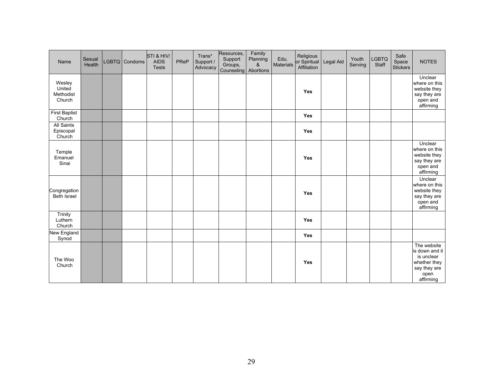| Name                                     | Sexual<br>Health | LGBTQ Condoms | STI & HIV/<br><b>AIDS</b><br><b>Tests</b> | PReP | Trans*<br>Support /<br>Advocacy | Resources,<br>Support<br>Groups,<br>Counseling | Family<br>Planning<br>&<br>Abortions | Edu.<br>Materials | Religious<br>or Spiritual<br>Affiliation | Legal Aid | Youth<br>Serving | LGBTQ<br>Staff | Safe<br>Space<br><b>Stickers</b> | <b>NOTES</b>                                                                                     |
|------------------------------------------|------------------|---------------|-------------------------------------------|------|---------------------------------|------------------------------------------------|--------------------------------------|-------------------|------------------------------------------|-----------|------------------|----------------|----------------------------------|--------------------------------------------------------------------------------------------------|
| Wesley<br>United<br>Methodist<br>Church  |                  |               |                                           |      |                                 |                                                |                                      |                   | Yes                                      |           |                  |                |                                  | Unclear<br>where on this<br>website they<br>say they are<br>open and<br>affirming                |
| <b>First Baptist</b><br>Church           |                  |               |                                           |      |                                 |                                                |                                      |                   | Yes                                      |           |                  |                |                                  |                                                                                                  |
| <b>All Saints</b><br>Episcopal<br>Church |                  |               |                                           |      |                                 |                                                |                                      |                   | Yes                                      |           |                  |                |                                  |                                                                                                  |
| Temple<br>Emanuel<br>Sinai               |                  |               |                                           |      |                                 |                                                |                                      |                   | Yes                                      |           |                  |                |                                  | Unclear<br>where on this<br>website they<br>say they are<br>open and<br>affirming                |
| Congregation<br><b>Beth Israel</b>       |                  |               |                                           |      |                                 |                                                |                                      |                   | Yes                                      |           |                  |                |                                  | Unclear<br>where on this<br>website they<br>say they are<br>open and<br>affirming                |
| Trinity<br>Luthern<br>Church             |                  |               |                                           |      |                                 |                                                |                                      |                   | Yes                                      |           |                  |                |                                  |                                                                                                  |
| New England<br>Synod                     |                  |               |                                           |      |                                 |                                                |                                      |                   | <b>Yes</b>                               |           |                  |                |                                  |                                                                                                  |
| The Woo<br>Church                        |                  |               |                                           |      |                                 |                                                |                                      |                   | Yes                                      |           |                  |                |                                  | The website<br>is down and it<br>is unclear<br>whether they<br>say they are<br>open<br>affirming |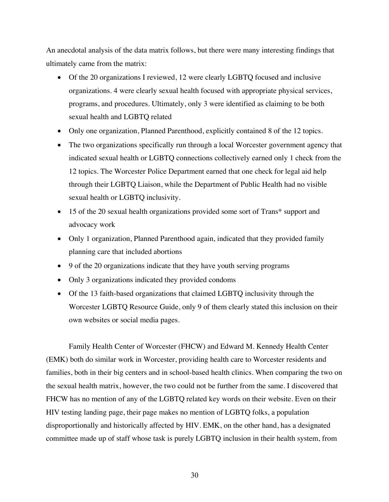An anecdotal analysis of the data matrix follows, but there were many interesting findings that ultimately came from the matrix:

- Of the 20 organizations I reviewed, 12 were clearly LGBTQ focused and inclusive organizations. 4 were clearly sexual health focused with appropriate physical services, programs, and procedures. Ultimately, only 3 were identified as claiming to be both sexual health and LGBTQ related
- Only one organization, Planned Parenthood, explicitly contained 8 of the 12 topics.
- The two organizations specifically run through a local Worcester government agency that indicated sexual health or LGBTQ connections collectively earned only 1 check from the 12 topics. The Worcester Police Department earned that one check for legal aid help through their LGBTQ Liaison, while the Department of Public Health had no visible sexual health or LGBTQ inclusivity.
- 15 of the 20 sexual health organizations provided some sort of Trans\* support and advocacy work
- Only 1 organization, Planned Parenthood again, indicated that they provided family planning care that included abortions
- 9 of the 20 organizations indicate that they have youth serving programs
- Only 3 organizations indicated they provided condoms
- Of the 13 faith-based organizations that claimed LGBTQ inclusivity through the Worcester LGBTQ Resource Guide, only 9 of them clearly stated this inclusion on their own websites or social media pages.

Family Health Center of Worcester (FHCW) and Edward M. Kennedy Health Center (EMK) both do similar work in Worcester, providing health care to Worcester residents and families, both in their big centers and in school-based health clinics. When comparing the two on the sexual health matrix, however, the two could not be further from the same. I discovered that FHCW has no mention of any of the LGBTQ related key words on their website. Even on their HIV testing landing page, their page makes no mention of LGBTQ folks, a population disproportionally and historically affected by HIV. EMK, on the other hand, has a designated committee made up of staff whose task is purely LGBTQ inclusion in their health system, from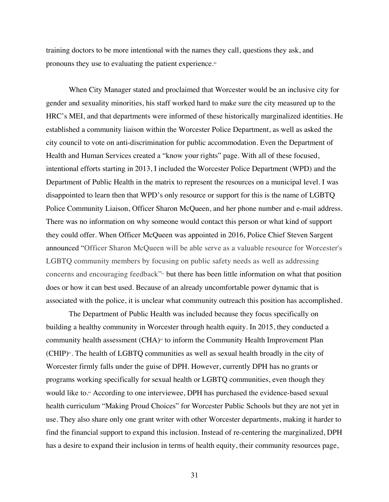training doctors to be more intentional with the names they call, questions they ask, and pronouns they use to evaluating the patient experience.<sup>60</sup>

When City Manager stated and proclaimed that Worcester would be an inclusive city for gender and sexuality minorities, his staff worked hard to make sure the city measured up to the HRC's MEI, and that departments were informed of these historically marginalized identities. He established a community liaison within the Worcester Police Department, as well as asked the city council to vote on anti-discrimination for public accommodation. Even the Department of Health and Human Services created a "know your rights" page. With all of these focused, intentional efforts starting in 2013, I included the Worcester Police Department (WPD) and the Department of Public Health in the matrix to represent the resources on a municipal level. I was disappointed to learn then that WPD's only resource or support for this is the name of LGBTQ Police Community Liaison, Officer Sharon McQueen, and her phone number and e-mail address. There was no information on why someone would contact this person or what kind of support they could offer. When Officer McQueen was appointed in 2016, Police Chief Steven Sargent announced "Officer Sharon McQueen will be able serve as a valuable resource for Worcester's LGBTQ community members by focusing on public safety needs as well as addressing concerns and encouraging feedback"61 but there has been little information on what that position does or how it can best used. Because of an already uncomfortable power dynamic that is associated with the police, it is unclear what community outreach this position has accomplished.

The Department of Public Health was included because they focus specifically on building a healthy community in Worcester through health equity. In 2015, they conducted a community health assessment  $(CHA)^{\circ}$  to inform the Community Health Improvement Plan  $(CHIP)$ <sup>63</sup>. The health of LGBTQ communities as well as sexual health broadly in the city of Worcester firmly falls under the guise of DPH. However, currently DPH has no grants or programs working specifically for sexual health or LGBTQ communities, even though they would like to.<sup>64</sup> According to one interviewee, DPH has purchased the evidence-based sexual health curriculum "Making Proud Choices" for Worcester Public Schools but they are not yet in use. They also share only one grant writer with other Worcester departments, making it harder to find the financial support to expand this inclusion. Instead of re-centering the marginalized, DPH has a desire to expand their inclusion in terms of health equity, their community resources page,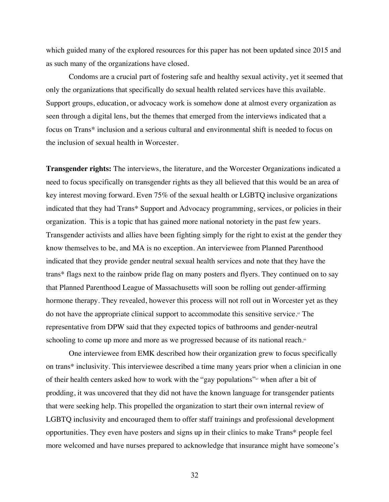which guided many of the explored resources for this paper has not been updated since 2015 and as such many of the organizations have closed.

Condoms are a crucial part of fostering safe and healthy sexual activity, yet it seemed that only the organizations that specifically do sexual health related services have this available. Support groups, education, or advocacy work is somehow done at almost every organization as seen through a digital lens, but the themes that emerged from the interviews indicated that a focus on Trans\* inclusion and a serious cultural and environmental shift is needed to focus on the inclusion of sexual health in Worcester.

**Transgender rights:** The interviews, the literature, and the Worcester Organizations indicated a need to focus specifically on transgender rights as they all believed that this would be an area of key interest moving forward. Even 75% of the sexual health or LGBTQ inclusive organizations indicated that they had Trans\* Support and Advocacy programming, services, or policies in their organization. This is a topic that has gained more national notoriety in the past few years. Transgender activists and allies have been fighting simply for the right to exist at the gender they know themselves to be, and MA is no exception. An interviewee from Planned Parenthood indicated that they provide gender neutral sexual health services and note that they have the trans\* flags next to the rainbow pride flag on many posters and flyers. They continued on to say that Planned Parenthood League of Massachusetts will soon be rolling out gender-affirming hormone therapy. They revealed, however this process will not roll out in Worcester yet as they do not have the appropriate clinical support to accommodate this sensitive service.<sup>65</sup> The representative from DPW said that they expected topics of bathrooms and gender-neutral schooling to come up more and more as we progressed because of its national reach.<sup>66</sup>

One interviewee from EMK described how their organization grew to focus specifically on trans\* inclusivity. This interviewee described a time many years prior when a clinician in one of their health centers asked how to work with the "gay populations"<sup>67</sup> when after a bit of prodding, it was uncovered that they did not have the known language for transgender patients that were seeking help. This propelled the organization to start their own internal review of LGBTQ inclusivity and encouraged them to offer staff trainings and professional development opportunities. They even have posters and signs up in their clinics to make Trans\* people feel more welcomed and have nurses prepared to acknowledge that insurance might have someone's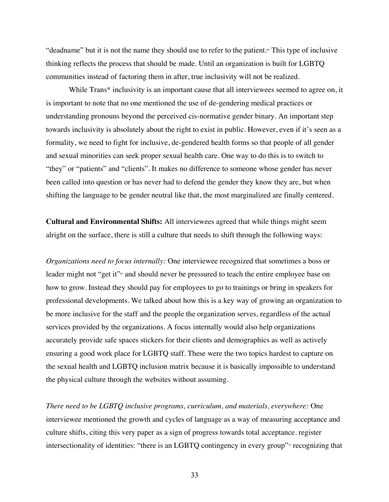"deadname" but it is not the name they should use to refer to the patient.<sup>®</sup> This type of inclusive thinking reflects the process that should be made. Until an organization is built for LGBTQ communities instead of factoring them in after, true inclusivity will not be realized.

While Trans<sup>\*</sup> inclusivity is an important cause that all interviewees seemed to agree on, it is important to note that no one mentioned the use of de-gendering medical practices or understanding pronouns beyond the perceived cis-normative gender binary. An important step towards inclusivity is absolutely about the right to exist in public. However, even if it's seen as a formality, we need to fight for inclusive, de-gendered health forms so that people of all gender and sexual minorities can seek proper sexual health care. One way to do this is to switch to "they" or "patients" and "clients". It makes no difference to someone whose gender has never been called into question or has never had to defend the gender they know they are, but when shifting the language to be gender neutral like that, the most marginalized are finally centered.

**Cultural and Environmental Shifts:** All interviewees agreed that while things might seem alright on the surface, there is still a culture that needs to shift through the following ways:

*Organizations need to focus internally:* One interviewee recognized that sometimes a boss or leader might not "get it"<sup>69</sup> and should never be pressured to teach the entire employee base on how to grow. Instead they should pay for employees to go to trainings or bring in speakers for professional developments. We talked about how this is a key way of growing an organization to be more inclusive for the staff and the people the organization serves, regardless of the actual services provided by the organizations. A focus internally would also help organizations accurately provide safe spaces stickers for their clients and demographics as well as actively ensuring a good work place for LGBTQ staff. These were the two topics hardest to capture on the sexual health and LGBTQ inclusion matrix because it is basically impossible to understand the physical culture through the websites without assuming.

*There need to be LGBTQ inclusive programs, curriculum, and materials, everywhere: One* interviewee mentioned the growth and cycles of language as a way of measuring acceptance and culture shifts, citing this very paper as a sign of progress towards total acceptance. register intersectionality of identities: "there is an LGBTQ contingency in every group" $\alpha$  recognizing that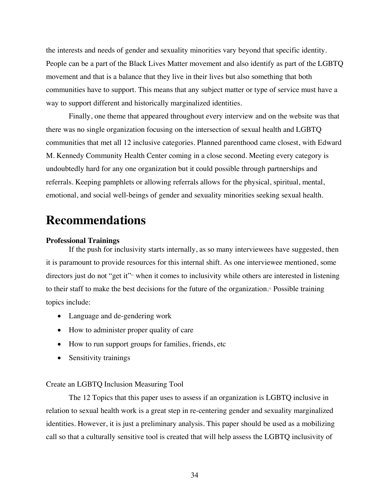the interests and needs of gender and sexuality minorities vary beyond that specific identity. People can be a part of the Black Lives Matter movement and also identify as part of the LGBTQ movement and that is a balance that they live in their lives but also something that both communities have to support. This means that any subject matter or type of service must have a way to support different and historically marginalized identities.

Finally, one theme that appeared throughout every interview and on the website was that there was no single organization focusing on the intersection of sexual health and LGBTQ communities that met all 12 inclusive categories. Planned parenthood came closest, with Edward M. Kennedy Community Health Center coming in a close second. Meeting every category is undoubtedly hard for any one organization but it could possible through partnerships and referrals. Keeping pamphlets or allowing referrals allows for the physical, spiritual, mental, emotional, and social well-beings of gender and sexuality minorities seeking sexual health.

## **Recommendations**

#### **Professional Trainings**

If the push for inclusivity starts internally, as so many interviewees have suggested, then it is paramount to provide resources for this internal shift. As one interviewee mentioned, some directors just do not "get it"<sup>71</sup> when it comes to inclusivity while others are interested in listening to their staff to make the best decisions for the future of the organization.<sup>72</sup> Possible training topics include:

- Language and de-gendering work
- How to administer proper quality of care
- How to run support groups for families, friends, etc
- Sensitivity trainings

#### Create an LGBTQ Inclusion Measuring Tool

The 12 Topics that this paper uses to assess if an organization is LGBTQ inclusive in relation to sexual health work is a great step in re-centering gender and sexuality marginalized identities. However, it is just a preliminary analysis. This paper should be used as a mobilizing call so that a culturally sensitive tool is created that will help assess the LGBTQ inclusivity of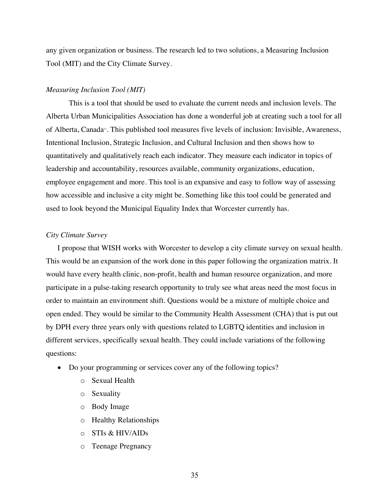any given organization or business. The research led to two solutions, a Measuring Inclusion Tool (MIT) and the City Climate Survey.

#### *Measuring Inclusion Tool (MIT)*

This is a tool that should be used to evaluate the current needs and inclusion levels. The Alberta Urban Municipalities Association has done a wonderful job at creating such a tool for all of Alberta, Canada<sup>3</sup>. This published tool measures five levels of inclusion: Invisible, Awareness, Intentional Inclusion, Strategic Inclusion, and Cultural Inclusion and then shows how to quantitatively and qualitatively reach each indicator. They measure each indicator in topics of leadership and accountability, resources available, community organizations, education, employee engagement and more. This tool is an expansive and easy to follow way of assessing how accessible and inclusive a city might be. Something like this tool could be generated and used to look beyond the Municipal Equality Index that Worcester currently has.

#### *City Climate Survey*

I propose that WISH works with Worcester to develop a city climate survey on sexual health. This would be an expansion of the work done in this paper following the organization matrix. It would have every health clinic, non-profit, health and human resource organization, and more participate in a pulse-taking research opportunity to truly see what areas need the most focus in order to maintain an environment shift. Questions would be a mixture of multiple choice and open ended. They would be similar to the Community Health Assessment (CHA) that is put out by DPH every three years only with questions related to LGBTQ identities and inclusion in different services, specifically sexual health. They could include variations of the following questions:

- Do your programming or services cover any of the following topics?
	- o Sexual Health
	- o Sexuality
	- o Body Image
	- o Healthy Relationships
	- o STIs & HIV/AIDs
	- o Teenage Pregnancy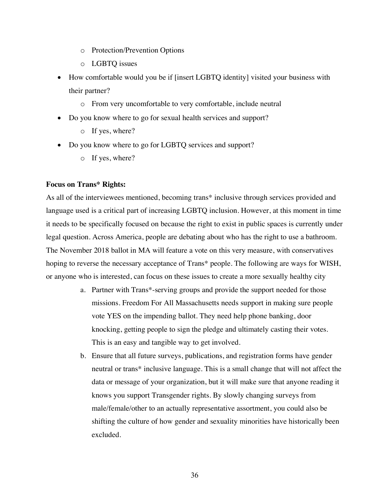- o Protection/Prevention Options
- o LGBTQ issues
- How comfortable would you be if [insert LGBTQ identity] visited your business with their partner?
	- o From very uncomfortable to very comfortable, include neutral
- Do you know where to go for sexual health services and support?
	- o If yes, where?
- Do you know where to go for LGBTQ services and support?
	- o If yes, where?

#### **Focus on Trans\* Rights:**

As all of the interviewees mentioned, becoming trans\* inclusive through services provided and language used is a critical part of increasing LGBTQ inclusion. However, at this moment in time it needs to be specifically focused on because the right to exist in public spaces is currently under legal question. Across America, people are debating about who has the right to use a bathroom. The November 2018 ballot in MA will feature a vote on this very measure, with conservatives hoping to reverse the necessary acceptance of Trans\* people. The following are ways for WISH, or anyone who is interested, can focus on these issues to create a more sexually healthy city

- a. Partner with Trans\*-serving groups and provide the support needed for those missions. Freedom For All Massachusetts needs support in making sure people vote YES on the impending ballot. They need help phone banking, door knocking, getting people to sign the pledge and ultimately casting their votes. This is an easy and tangible way to get involved.
- b. Ensure that all future surveys, publications, and registration forms have gender neutral or trans\* inclusive language. This is a small change that will not affect the data or message of your organization, but it will make sure that anyone reading it knows you support Transgender rights. By slowly changing surveys from male/female/other to an actually representative assortment, you could also be shifting the culture of how gender and sexuality minorities have historically been excluded.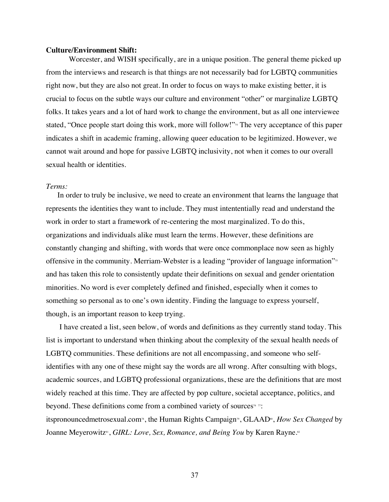#### **Culture/Environment Shift:**

Worcester, and WISH specifically, are in a unique position. The general theme picked up from the interviews and research is that things are not necessarily bad for LGBTQ communities right now, but they are also not great. In order to focus on ways to make existing better, it is crucial to focus on the subtle ways our culture and environment "other" or marginalize LGBTQ folks. It takes years and a lot of hard work to change the environment, but as all one interviewee stated, "Once people start doing this work, more will follow!"<sup>4</sup> The very acceptance of this paper indicates a shift in academic framing, allowing queer education to be legitimized. However, we cannot wait around and hope for passive LGBTQ inclusivity, not when it comes to our overall sexual health or identities.

#### *Terms:*

In order to truly be inclusive, we need to create an environment that learns the language that represents the identities they want to include. They must intententially read and understand the work in order to start a framework of re-centering the most marginalized. To do this, organizations and individuals alike must learn the terms. However, these definitions are constantly changing and shifting, with words that were once commonplace now seen as highly offensive in the community. Merriam-Webster is a leading "provider of language information"<sup>35</sup> and has taken this role to consistently update their definitions on sexual and gender orientation minorities. No word is ever completely defined and finished, especially when it comes to something so personal as to one's own identity. Finding the language to express yourself, though, is an important reason to keep trying.

I have created a list, seen below, of words and definitions as they currently stand today. This list is important to understand when thinking about the complexity of the sexual health needs of LGBTQ communities. These definitions are not all encompassing, and someone who selfidentifies with any one of these might say the words are all wrong. After consulting with blogs, academic sources, and LGBTQ professional organizations, these are the definitions that are most widely reached at this time. They are affected by pop culture, societal acceptance, politics, and beyond. These definitions come from a combined variety of sources<sup> $6\pi$ </sup>: itspronouncedmetrosexual.com<sup>3</sup>, the Human Rights Campaign<sup>3</sup>, GLAAD<sup>80</sup>, *How Sex Changed* by

Joanne Meyerowitz<sup>81</sup>, *GIRL: Love, Sex, Romance, and Being You* by Karen Rayne.<sup>82</sup>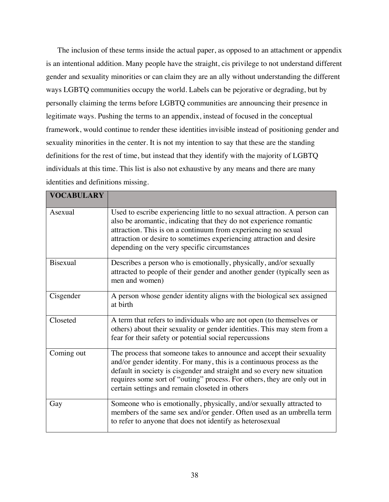The inclusion of these terms inside the actual paper, as opposed to an attachment or appendix is an intentional addition. Many people have the straight, cis privilege to not understand different gender and sexuality minorities or can claim they are an ally without understanding the different ways LGBTQ communities occupy the world. Labels can be pejorative or degrading, but by personally claiming the terms before LGBTQ communities are announcing their presence in legitimate ways. Pushing the terms to an appendix, instead of focused in the conceptual framework, would continue to render these identities invisible instead of positioning gender and sexuality minorities in the center. It is not my intention to say that these are the standing definitions for the rest of time, but instead that they identify with the majority of LGBTQ individuals at this time. This list is also not exhaustive by any means and there are many identities and definitions missing.

| <b>VOCABULARY</b> |                                                                                                                                                                                                                                                                                                                                                         |
|-------------------|---------------------------------------------------------------------------------------------------------------------------------------------------------------------------------------------------------------------------------------------------------------------------------------------------------------------------------------------------------|
| Asexual           | Used to escribe experiencing little to no sexual attraction. A person can<br>also be aromantic, indicating that they do not experience romantic<br>attraction. This is on a continuum from experiencing no sexual<br>attraction or desire to sometimes experiencing attraction and desire<br>depending on the very specific circumstances               |
| <b>Bisexual</b>   | Describes a person who is emotionally, physically, and/or sexually<br>attracted to people of their gender and another gender (typically seen as<br>men and women)                                                                                                                                                                                       |
| Cisgender         | A person whose gender identity aligns with the biological sex assigned<br>at birth                                                                                                                                                                                                                                                                      |
| Closeted          | A term that refers to individuals who are not open (to themselves or<br>others) about their sexuality or gender identities. This may stem from a<br>fear for their safety or potential social repercussions                                                                                                                                             |
| Coming out        | The process that someone takes to announce and accept their sexuality<br>and/or gender identity. For many, this is a continuous process as the<br>default in society is cisgender and straight and so every new situation<br>requires some sort of "outing" process. For others, they are only out in<br>certain settings and remain closeted in others |
| Gay               | Someone who is emotionally, physically, and/or sexually attracted to<br>members of the same sex and/or gender. Often used as an umbrella term<br>to refer to anyone that does not identify as heterosexual                                                                                                                                              |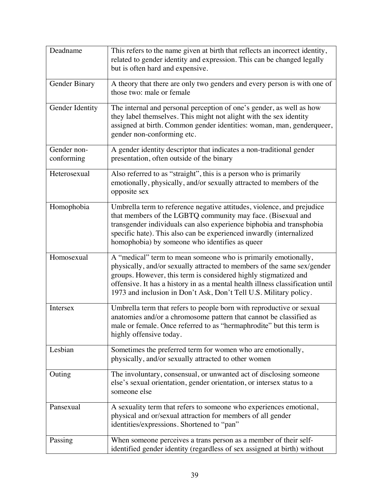| Deadname                  | This refers to the name given at birth that reflects an incorrect identity,<br>related to gender identity and expression. This can be changed legally<br>but is often hard and expensive.                                                                                                                                                                           |
|---------------------------|---------------------------------------------------------------------------------------------------------------------------------------------------------------------------------------------------------------------------------------------------------------------------------------------------------------------------------------------------------------------|
| Gender Binary             | A theory that there are only two genders and every person is with one of<br>those two: male or female                                                                                                                                                                                                                                                               |
| Gender Identity           | The internal and personal perception of one's gender, as well as how<br>they label themselves. This might not alight with the sex identity<br>assigned at birth. Common gender identities: woman, man, genderqueer,<br>gender non-conforming etc.                                                                                                                   |
| Gender non-<br>conforming | A gender identity descriptor that indicates a non-traditional gender<br>presentation, often outside of the binary                                                                                                                                                                                                                                                   |
| Heterosexual              | Also referred to as "straight", this is a person who is primarily<br>emotionally, physically, and/or sexually attracted to members of the<br>opposite sex                                                                                                                                                                                                           |
| Homophobia                | Umbrella term to reference negative attitudes, violence, and prejudice<br>that members of the LGBTQ community may face. (Bisexual and<br>transgender individuals can also experience biphobia and transphobia<br>specific hate). This also can be experienced inwardly (internalized<br>homophobia) by someone who identifies as queer                              |
| Homosexual                | A "medical" term to mean someone who is primarily emotionally,<br>physically, and/or sexually attracted to members of the same sex/gender<br>groups. However, this term is considered highly stigmatized and<br>offensive. It has a history in as a mental health illness classification until<br>1973 and inclusion in Don't Ask, Don't Tell U.S. Military policy. |
| Intersex                  | Umbrella term that refers to people born with reproductive or sexual<br>anatomies and/or a chromosome pattern that cannot be classified as<br>male or female. Once referred to as "hermaphrodite" but this term is<br>highly offensive today.                                                                                                                       |
| Lesbian                   | Sometimes the preferred term for women who are emotionally,<br>physically, and/or sexually attracted to other women                                                                                                                                                                                                                                                 |
| Outing                    | The involuntary, consensual, or unwanted act of disclosing someone<br>else's sexual orientation, gender orientation, or intersex status to a<br>someone else                                                                                                                                                                                                        |
| Pansexual                 | A sexuality term that refers to someone who experiences emotional,<br>physical and or/sexual attraction for members of all gender<br>identities/expressions. Shortened to "pan"                                                                                                                                                                                     |
| Passing                   | When someone perceives a trans person as a member of their self-<br>identified gender identity (regardless of sex assigned at birth) without                                                                                                                                                                                                                        |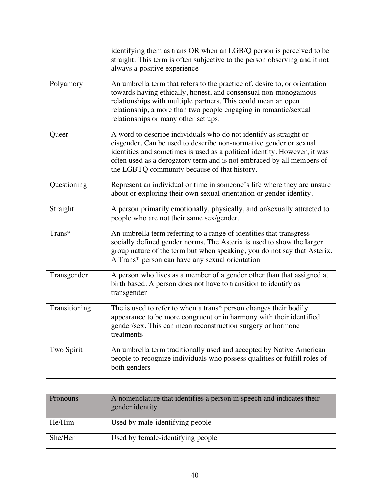|               | identifying them as trans OR when an LGB/Q person is perceived to be<br>straight. This term is often subjective to the person observing and it not<br>always a positive experience                                                                                                                                                           |
|---------------|----------------------------------------------------------------------------------------------------------------------------------------------------------------------------------------------------------------------------------------------------------------------------------------------------------------------------------------------|
| Polyamory     | An umbrella term that refers to the practice of, desire to, or orientation<br>towards having ethically, honest, and consensual non-monogamous<br>relationships with multiple partners. This could mean an open<br>relationship, a more than two people engaging in romantic/sexual<br>relationships or many other set ups.                   |
| Queer         | A word to describe individuals who do not identify as straight or<br>cisgender. Can be used to describe non-normative gender or sexual<br>identities and sometimes is used as a political identity. However, it was<br>often used as a derogatory term and is not embraced by all members of<br>the LGBTQ community because of that history. |
| Questioning   | Represent an individual or time in someone's life where they are unsure<br>about or exploring their own sexual orientation or gender identity.                                                                                                                                                                                               |
| Straight      | A person primarily emotionally, physically, and or/sexually attracted to<br>people who are not their same sex/gender.                                                                                                                                                                                                                        |
| Trans*        | An umbrella term referring to a range of identities that transgress<br>socially defined gender norms. The Asterix is used to show the larger<br>group nature of the term but when speaking, you do not say that Asterix.<br>A Trans* person can have any sexual orientation                                                                  |
| Transgender   | A person who lives as a member of a gender other than that assigned at<br>birth based. A person does not have to transition to identify as<br>transgender                                                                                                                                                                                    |
| Transitioning | The is used to refer to when a trans* person changes their bodily<br>appearance to be more congruent or in harmony with their identified<br>gender/sex. This can mean reconstruction surgery or hormone<br>treatments                                                                                                                        |
| Two Spirit    | An umbrella term traditionally used and accepted by Native American<br>people to recognize individuals who possess qualities or fulfill roles of<br>both genders                                                                                                                                                                             |
|               |                                                                                                                                                                                                                                                                                                                                              |
| Pronouns      | A nomenclature that identifies a person in speech and indicates their<br>gender identity                                                                                                                                                                                                                                                     |
| He/Him        | Used by male-identifying people                                                                                                                                                                                                                                                                                                              |
| She/Her       | Used by female-identifying people                                                                                                                                                                                                                                                                                                            |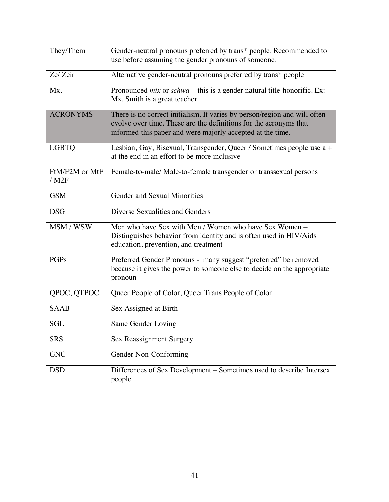| They/Them                              | Gender-neutral pronouns preferred by trans* people. Recommended to<br>use before assuming the gender pronouns of someone.                                                                                    |
|----------------------------------------|--------------------------------------------------------------------------------------------------------------------------------------------------------------------------------------------------------------|
| Ze/ Zeir                               | Alternative gender-neutral pronouns preferred by trans* people                                                                                                                                               |
| Mx.                                    | Pronounced $mix$ or $schwa$ – this is a gender natural title-honorific. Ex:<br>Mx. Smith is a great teacher                                                                                                  |
| <b>ACRONYMS</b>                        | There is no correct initialism. It varies by person/region and will often<br>evolve over time. These are the definitions for the acronyms that<br>informed this paper and were majorly accepted at the time. |
| <b>LGBTQ</b>                           | Lesbian, Gay, Bisexual, Transgender, Queer / Sometimes people use a +<br>at the end in an effort to be more inclusive                                                                                        |
| FtM/F2M or MtF<br>$/$ M <sub>2</sub> F | Female-to-male/ Male-to-female transgender or transsexual persons                                                                                                                                            |
| <b>GSM</b>                             | Gender and Sexual Minorities                                                                                                                                                                                 |
| <b>DSG</b>                             | Diverse Sexualities and Genders                                                                                                                                                                              |
| MSM / WSW                              | Men who have Sex with Men / Women who have Sex Women -<br>Distinguishes behavior from identity and is often used in HIV/Aids<br>education, prevention, and treatment                                         |
| <b>PGPs</b>                            | Preferred Gender Pronouns - many suggest "preferred" be removed<br>because it gives the power to someone else to decide on the appropriate<br>pronoun                                                        |
| QPOC, QTPOC                            | Queer People of Color, Queer Trans People of Color                                                                                                                                                           |
| <b>SAAB</b>                            | Sex Assigned at Birth                                                                                                                                                                                        |
| <b>SGL</b>                             | Same Gender Loving                                                                                                                                                                                           |
| <b>SRS</b>                             | <b>Sex Reassignment Surgery</b>                                                                                                                                                                              |
| GNC                                    | Gender Non-Conforming                                                                                                                                                                                        |
| <b>DSD</b>                             | Differences of Sex Development - Sometimes used to describe Intersex<br>people                                                                                                                               |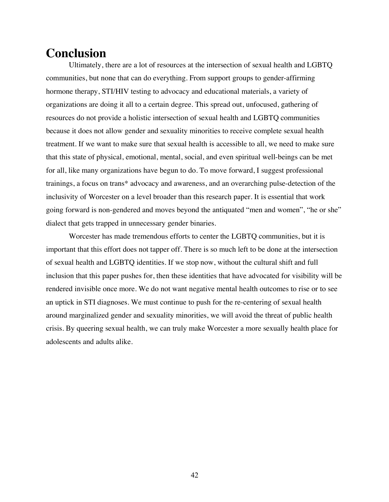### **Conclusion**

Ultimately, there are a lot of resources at the intersection of sexual health and LGBTQ communities, but none that can do everything. From support groups to gender-affirming hormone therapy, STI/HIV testing to advocacy and educational materials, a variety of organizations are doing it all to a certain degree. This spread out, unfocused, gathering of resources do not provide a holistic intersection of sexual health and LGBTQ communities because it does not allow gender and sexuality minorities to receive complete sexual health treatment. If we want to make sure that sexual health is accessible to all, we need to make sure that this state of physical, emotional, mental, social, and even spiritual well-beings can be met for all, like many organizations have begun to do. To move forward, I suggest professional trainings, a focus on trans\* advocacy and awareness, and an overarching pulse-detection of the inclusivity of Worcester on a level broader than this research paper. It is essential that work going forward is non-gendered and moves beyond the antiquated "men and women", "he or she" dialect that gets trapped in unnecessary gender binaries.

Worcester has made tremendous efforts to center the LGBTQ communities, but it is important that this effort does not tapper off. There is so much left to be done at the intersection of sexual health and LGBTQ identities. If we stop now, without the cultural shift and full inclusion that this paper pushes for, then these identities that have advocated for visibility will be rendered invisible once more. We do not want negative mental health outcomes to rise or to see an uptick in STI diagnoses. We must continue to push for the re-centering of sexual health around marginalized gender and sexuality minorities, we will avoid the threat of public health crisis. By queering sexual health, we can truly make Worcester a more sexually health place for adolescents and adults alike.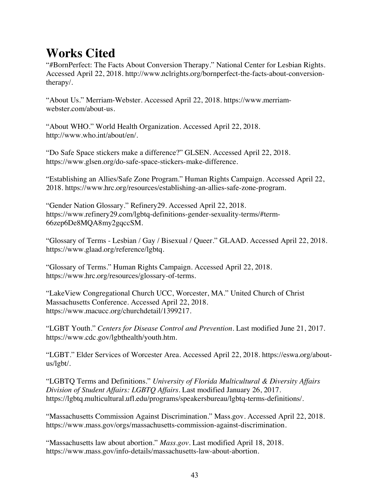## **Works Cited**

"#BornPerfect: The Facts About Conversion Therapy." National Center for Lesbian Rights. Accessed April 22, 2018. http://www.nclrights.org/bornperfect-the-facts-about-conversiontherapy/.

"About Us." Merriam-Webster. Accessed April 22, 2018. https://www.merriamwebster.com/about-us.

"About WHO." World Health Organization. Accessed April 22, 2018. http://www.who.int/about/en/.

"Do Safe Space stickers make a difference?" GLSEN. Accessed April 22, 2018. https://www.glsen.org/do-safe-space-stickers-make-difference.

"Establishing an Allies/Safe Zone Program." Human Rights Campaign. Accessed April 22, 2018. https://www.hrc.org/resources/establishing-an-allies-safe-zone-program.

"Gender Nation Glossary." Refinery29. Accessed April 22, 2018. https://www.refinery29.com/lgbtq-definitions-gender-sexuality-terms/#term-66zep6De8MQA8my2gqccSM.

"Glossary of Terms - Lesbian / Gay / Bisexual / Queer." GLAAD. Accessed April 22, 2018. https://www.glaad.org/reference/lgbtq.

"Glossary of Terms." Human Rights Campaign. Accessed April 22, 2018. https://www.hrc.org/resources/glossary-of-terms.

"LakeView Congregational Church UCC, Worcester, MA." United Church of Christ Massachusetts Conference. Accessed April 22, 2018. https://www.macucc.org/churchdetail/1399217.

"LGBT Youth." *Centers for Disease Control and Prevention*. Last modified June 21, 2017. https://www.cdc.gov/lgbthealth/youth.htm.

"LGBT." Elder Services of Worcester Area. Accessed April 22, 2018. https://eswa.org/aboutus/lgbt/.

"LGBTQ Terms and Definitions." *University of Florida Multicultural & Diversity Affairs Division of Student Affairs: LGBTQ Affairs*. Last modified January 26, 2017. https://lgbtq.multicultural.ufl.edu/programs/speakersbureau/lgbtq-terms-definitions/.

"Massachusetts Commission Against Discrimination." Mass.gov. Accessed April 22, 2018. https://www.mass.gov/orgs/massachusetts-commission-against-discrimination.

"Massachusetts law about abortion." *Mass.gov.* Last modified April 18, 2018. https://www.mass.gov/info-details/massachusetts-law-about-abortion.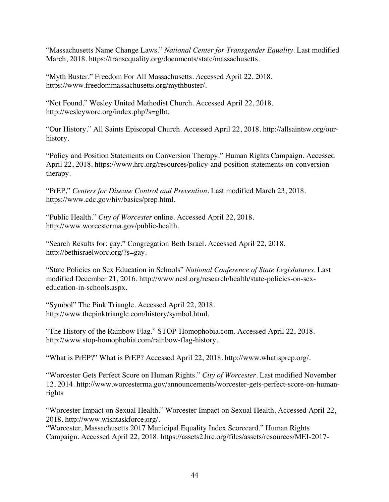"Massachusetts Name Change Laws." *National Center for Transgender Equality*. Last modified March, 2018. https://transequality.org/documents/state/massachusetts.

"Myth Buster." Freedom For All Massachusetts*. A*ccessed April 22, 2018. https://www.freedommassachusetts.org/mythbuster/.

"Not Found." Wesley United Methodist Church. Accessed April 22, 2018. http://wesleyworc.org/index.php?s=glbt.

"Our History." All Saints Episcopal Church. Accessed April 22, 2018. http://allsaintsw.org/ourhistory.

"Policy and Position Statements on Conversion Therapy." Human Rights Campaign. Accessed April 22, 2018. https://www.hrc.org/resources/policy-and-position-statements-on-conversiontherapy.

"PrEP," *Centers for Disease Control and Prevention*. Last modified March 23, 2018. https://www.cdc.gov/hiv/basics/prep.html.

"Public Health." *City of Worcester* online. Accessed April 22, 2018. http://www.worcesterma.gov/public-health.

"Search Results for: gay." Congregation Beth Israel. Accessed April 22, 2018. http://bethisraelworc.org/?s=gay.

"State Policies on Sex Education in Schools" *National Conference of State Legislatures*. Last modified December 21, 2016. http://www.ncsl.org/research/health/state-policies-on-sexeducation-in-schools.aspx.

"Symbol" The Pink Triangle. Accessed April 22, 2018. http://www.thepinktriangle.com/history/symbol.html.

"The History of the Rainbow Flag." STOP-Homophobia.com. Accessed April 22, 2018. http://www.stop-homophobia.com/rainbow-flag-history.

"What is PrEP?" What is PrEP? Accessed April 22, 2018. http://www.whatisprep.org/.

"Worcester Gets Perfect Score on Human Rights." *City of Worcester*. Last modified November 12, 2014. http://www.worcesterma.gov/announcements/worcester-gets-perfect-score-on-humanrights

"Worcester Impact on Sexual Health." Worcester Impact on Sexual Health. Accessed April 22, 2018. http://www.wishtaskforce.org/.

"Worcester, Massachusetts 2017 Municipal Equality Index Scorecard." Human Rights Campaign. Accessed April 22, 2018. https://assets2.hrc.org/files/assets/resources/MEI-2017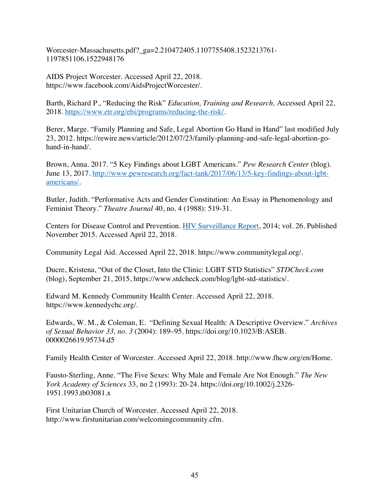Worcester-Massachusetts.pdf?\_ga=2.210472405.1107755408.1523213761- 1197851106.1522948176

AIDS Project Worcester. Accessed April 22, 2018. https://www.facebook.com/AidsProjectWorcester/.

Barth, Richard P., "Reducing the Risk" *Education, Training and Research,* Accessed April 22, 2018. https://www.etr.org/ebi/programs/reducing-the-risk/.

Berer, Marge. "Family Planning and Safe, Legal Abortion Go Hand in Hand" last modified July 23, 2012. https://rewire.news/article/2012/07/23/family-planning-and-safe-legal-abortion-gohand-in-hand/.

Brown, Anna. 2017. "5 Key Findings about LGBT Americans." *Pew Research Center* (blog). June 13, 2017. http://www.pewresearch.org/fact-tank/2017/06/13/5-key-findings-about-lgbtamericans/.

Butler, Judith. "Performative Acts and Gender Constitution: An Essay in Phenomenology and Feminist Theory." *Theatre Journal* 40, no. 4 (1988): 519-31.

Centers for Disease Control and Prevention. HIV Surveillance Report, 2014; vol. 26. Published November 2015. Accessed April 22, 2018.

Community Legal Aid. Accessed April 22, 2018. https://www.communitylegal.org/.

Ducre, Kristena, "Out of the Closet, Into the Clinic: LGBT STD Statistics" *STDCheck.com* (blog), September 21, 2015, https://www.stdcheck.com/blog/lgbt-std-statistics/.

Edward M. Kennedy Community Health Center. Accessed April 22, 2018. https://www.kennedychc.org/.

Edwards, W. M., & Coleman, E. "Defining Sexual Health: A Descriptive Overview." *Archives of Sexual Behavior 33, no. 3* (2004): 189–95. https://doi.org/10.1023/B:ASEB. 0000026619.95734.d5

Family Health Center of Worcester. Accessed April 22, 2018. http://www.fhcw.org/en/Home.

Fausto-Sterling, Anne. "The Five Sexes: Why Male and Female Are Not Enough." *The New York Academy of Sciences* 33, no 2 (1993): 20-24. https://doi.org/10.1002/j.2326- 1951.1993.tb03081.x

First Unitarian Church of Worcester. Accessed April 22, 2018. http://www.firstunitarian.com/welcomingcommunity.cfm.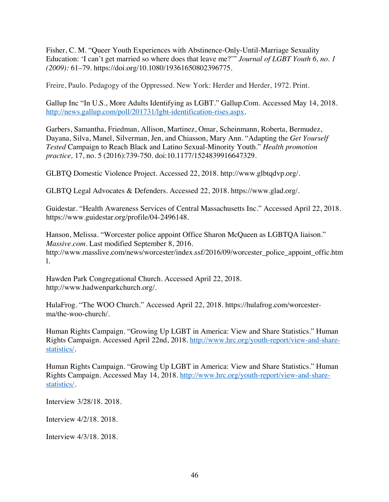Fisher, C. M. "Queer Youth Experiences with Abstinence-Only-Until-Marriage Sexuality Education: 'I can't get married so where does that leave me?'" *Journal of LGBT Youth 6, no. 1 (2009):* 61–79. https://doi.org/10.1080/19361650802396775.

Freire, Paulo. Pedagogy of the Oppressed. New York: Herder and Herder, 1972. Print.

Gallup Inc "In U.S., More Adults Identifying as LGBT." Gallup.Com. Accessed May 14, 2018. http://news.gallup.com/poll/201731/lgbt-identification-rises.aspx.

Garbers, Samantha, Friedman, Allison, Martinez, Omar, Scheinmann, Roberta, Bermudez, Dayana, Silva, Manel, Silverman, Jen, and Chiasson, Mary Ann. "Adapting the *Get Yourself Tested* Campaign to Reach Black and Latino Sexual-Minority Youth." *Health promotion practice,* 17, no. 5 (2016):739-750. doi:10.1177/1524839916647329.

GLBTQ Domestic Violence Project. Accessed 22, 2018. http://www.glbtqdvp.org/.

GLBTQ Legal Advocates & Defenders. Accessed 22, 2018. https://www.glad.org/.

Guidestar. "Health Awareness Services of Central Massachusetts Inc." Accessed April 22, 2018. https://www.guidestar.org/profile/04-2496148.

Hanson, Melissa. "Worcester police appoint Office Sharon McQueen as LGBTQA liaison." *Massive.com*. Last modified September 8, 2016. http://www.masslive.com/news/worcester/index.ssf/2016/09/worcester\_police\_appoint\_offic.htm l.

Hawden Park Congregational Church. Accessed April 22, 2018. http://www.hadwenparkchurch.org/.

HulaFrog. "The WOO Church." Accessed April 22, 2018. https://hulafrog.com/worcesterma/the-woo-church/.

Human Rights Campaign. "Growing Up LGBT in America: View and Share Statistics." Human Rights Campaign. Accessed April 22nd, 2018. http://www.hrc.org/youth-report/view-and-sharestatistics/.

Human Rights Campaign. "Growing Up LGBT in America: View and Share Statistics." Human Rights Campaign. Accessed May 14, 2018. http://www.hrc.org/youth-report/view-and-sharestatistics/.

Interview 3/28/18. 2018.

Interview 4/2/18. 2018.

Interview 4/3/18. 2018.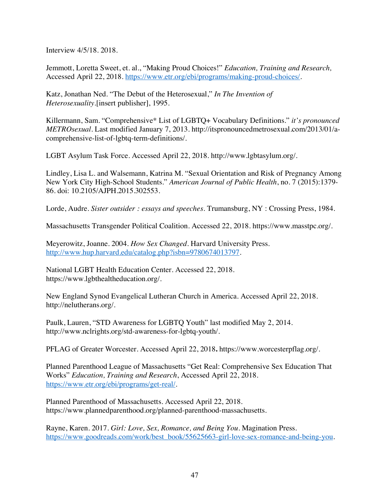Interview 4/5/18. 2018.

Jemmott, Loretta Sweet, et. al., "Making Proud Choices!" *Education, Training and Research,* Accessed April 22, 2018. https://www.etr.org/ebi/programs/making-proud-choices/.

Katz, Jonathan Ned. "The Debut of the Heterosexual," *In The Invention of Heterosexuality.*[insert publisher], 1995.

Killermann, Sam. "Comprehensive\* List of LGBTQ+ Vocabulary Definitions." *it's pronounced METROsexual*. Last modified January 7, 2013. http://itspronouncedmetrosexual.com/2013/01/acomprehensive-list-of-lgbtq-term-definitions/.

LGBT Asylum Task Force. Accessed April 22, 2018. http://www.lgbtasylum.org/.

Lindley, Lisa L. and Walsemann, Katrina M. "Sexual Orientation and Risk of Pregnancy Among New York City High-School Students." *American Journal of Public Health*, no. 7 (2015):1379- 86. doi: 10.2105/AJPH.2015.302553.

Lorde, Audre. *Sister outsider : essays and speeches*. Trumansburg, NY : Crossing Press, 1984.

Massachusetts Transgender Political Coalition. Accessed 22, 2018. https://www.masstpc.org/.

Meyerowitz, Joanne. 2004. *How Sex Changed*. Harvard University Press. http://www.hup.harvard.edu/catalog.php?isbn=9780674013797.

National LGBT Health Education Center. Accessed 22, 2018. https://www.lgbthealtheducation.org/.

New England Synod Evangelical Lutheran Church in America. Accessed April 22, 2018. http://nelutherans.org/.

Paulk, Lauren, "STD Awareness for LGBTQ Youth" last modified May 2, 2014. http://www.nclrights.org/std-awareness-for-lgbtq-youth/.

PFLAG of Greater Worcester. Accessed April 22, 2018**.** https://www.worcesterpflag.org/.

Planned Parenthood League of Massachusetts "Get Real: Comprehensive Sex Education That Works" *Education, Training and Research*, Accessed April 22, 2018. https://www.etr.org/ebi/programs/get-real/.

Planned Parenthood of Massachusetts. Accessed April 22, 2018. https://www.plannedparenthood.org/planned-parenthood-massachusetts.

Rayne, Karen. 2017. *Girl: Love, Sex, Romance, and Being You*. Magination Press. https://www.goodreads.com/work/best\_book/55625663-girl-love-sex-romance-and-being-you.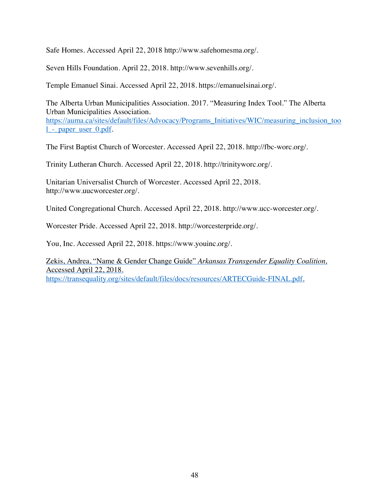Safe Homes. Accessed April 22, 2018 http://www.safehomesma.org/.

Seven Hills Foundation. April 22, 2018. http://www.sevenhills.org/.

Temple Emanuel Sinai. Accessed April 22, 2018. https://emanuelsinai.org/.

The Alberta Urban Municipalities Association. 2017. "Measuring Index Tool." The Alberta Urban Municipalities Association. https://auma.ca/sites/default/files/Advocacy/Programs\_Initiatives/WIC/measuring\_inclusion\_too l\_-\_paper\_user\_0.pdf.

The First Baptist Church of Worcester. Accessed April 22, 2018. http://fbc-worc.org/.

Trinity Lutheran Church. Accessed April 22, 2018. http://trinityworc.org/.

Unitarian Universalist Church of Worcester. Accessed April 22, 2018. http://www.uucworcester.org/.

United Congregational Church. Accessed April 22, 2018. http://www.ucc-worcester.org/.

Worcester Pride. Accessed April 22, 2018. http://worcesterpride.org/.

You, Inc. Accessed April 22, 2018. https://www.youinc.org/.

Zekis, Andrea, "Name & Gender Change Guide" *Arkansas Transgender Equality Coalition,* Accessed April 22, 2018. https://transequality.org/sites/default/files/docs/resources/ARTECGuide-FINAL.pdf.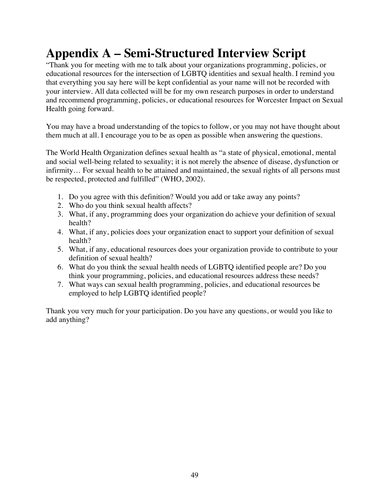# **Appendix A – Semi-Structured Interview Script**

"Thank you for meeting with me to talk about your organizations programming, policies, or educational resources for the intersection of LGBTQ identities and sexual health. I remind you that everything you say here will be kept confidential as your name will not be recorded with your interview. All data collected will be for my own research purposes in order to understand and recommend programming, policies, or educational resources for Worcester Impact on Sexual Health going forward.

You may have a broad understanding of the topics to follow, or you may not have thought about them much at all. I encourage you to be as open as possible when answering the questions.

The World Health Organization defines sexual health as "a state of physical, emotional, mental and social well-being related to sexuality; it is not merely the absence of disease, dysfunction or infirmity… For sexual health to be attained and maintained, the sexual rights of all persons must be respected, protected and fulfilled" (WHO, 2002).

- 1. Do you agree with this definition? Would you add or take away any points?
- 2. Who do you think sexual health affects?
- 3. What, if any, programming does your organization do achieve your definition of sexual health?
- 4. What, if any, policies does your organization enact to support your definition of sexual health?
- 5. What, if any, educational resources does your organization provide to contribute to your definition of sexual health?
- 6. What do you think the sexual health needs of LGBTQ identified people are? Do you think your programming, policies, and educational resources address these needs?
- 7. What ways can sexual health programming, policies, and educational resources be employed to help LGBTQ identified people?

Thank you very much for your participation. Do you have any questions, or would you like to add anything?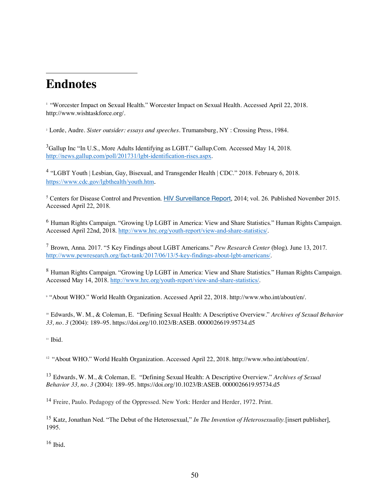## **Endnotes**

 $\overline{a}$ 

<sup>1</sup> "Worcester Impact on Sexual Health." Worcester Impact on Sexual Health. Accessed April 22, 2018. http://www.wishtaskforce.org/.

<sup>2</sup> Lorde, Audre. *Sister outsider: essays and speeches*. Trumansburg, NY : Crossing Press, 1984.

<sup>3</sup>Gallup Inc "In U.S., More Adults Identifying as LGBT." Gallup.Com. Accessed May 14, 2018. http://news.gallup.com/poll/201731/lgbt-identification-rises.aspx.

<sup>4</sup> "LGBT Youth | Lesbian, Gay, Bisexual, and Transgender Health | CDC." 2018. February 6, 2018. https://www.cdc.gov/lgbthealth/youth.htm.

<sup>5</sup> Centers for Disease Control and Prevention. HIV Surveillance Report, 2014; vol. 26. Published November 2015. Accessed April 22, 2018.

<sup>6</sup> Human Rights Campaign. "Growing Up LGBT in America: View and Share Statistics." Human Rights Campaign. Accessed April 22nd, 2018. http://www.hrc.org/youth-report/view-and-share-statistics/.

<sup>7</sup> Brown, Anna. 2017. "5 Key Findings about LGBT Americans." *Pew Research Center* (blog). June 13, 2017. http://www.pewresearch.org/fact-tank/2017/06/13/5-key-findings-about-lgbt-americans/.

<sup>8</sup> Human Rights Campaign. "Growing Up LGBT in America: View and Share Statistics." Human Rights Campaign. Accessed May 14, 2018. http://www.hrc.org/youth-report/view-and-share-statistics/.

<sup>9</sup> "About WHO." World Health Organization. Accessed April 22, 2018. http://www.who.int/about/en/.

<sup>10</sup> Edwards, W. M., & Coleman, E. "Defining Sexual Health: A Descriptive Overview." *Archives of Sexual Behavior 33, no. 3* (2004): 189–95. https://doi.org/10.1023/B:ASEB. 0000026619.95734.d5

 $11$  Ibid.

<sup>12</sup> "About WHO." World Health Organization. Accessed April 22, 2018. http://www.who.int/about/en/.

<sup>13</sup> Edwards, W. M., & Coleman, E. "Defining Sexual Health: A Descriptive Overview." *Archives of Sexual Behavior 33, no. 3* (2004): 189–95. https://doi.org/10.1023/B:ASEB. 0000026619.95734.d5

<sup>14</sup> Freire, Paulo. Pedagogy of the Oppressed. New York: Herder and Herder, 1972. Print.

<sup>15</sup> Katz, Jonathan Ned. "The Debut of the Heterosexual," *In The Invention of Heterosexuality.*[insert publisher], 1995.

 $16$  Ibid.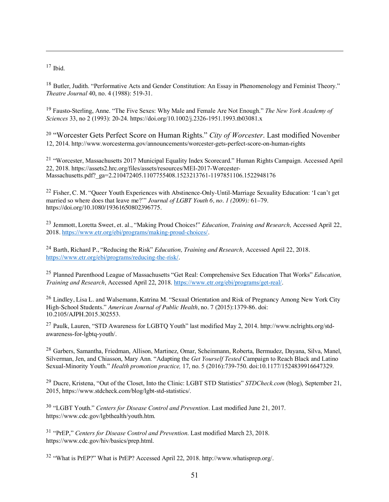$17$  Ibid.

 $\overline{a}$ 

<sup>18</sup> Butler, Judith. "Performative Acts and Gender Constitution: An Essay in Phenomenology and Feminist Theory." *Theatre Journal* 40, no. 4 (1988): 519-31.

<sup>19</sup> Fausto-Sterling, Anne. "The Five Sexes: Why Male and Female Are Not Enough." *The New York Academy of Sciences* 33, no 2 (1993): 20-24. https://doi.org/10.1002/j.2326-1951.1993.tb03081.x

<sup>20</sup> "Worcester Gets Perfect Score on Human Rights." *City of Worcester*. Last modified November 12, 2014. http://www.worcesterma.gov/announcements/worcester-gets-perfect-score-on-human-rights

<sup>21</sup> "Worcester, Massachusetts 2017 Municipal Equality Index Scorecard." Human Rights Campaign. Accessed April 22, 2018. https://assets2.hrc.org/files/assets/resources/MEI-2017-Worcester-Massachusetts.pdf? ga=2.210472405.1107755408.1523213761-1197851106.1522948176

<sup>22</sup> Fisher, C. M. "Queer Youth Experiences with Abstinence-Only-Until-Marriage Sexuality Education: 'I can't get married so where does that leave me?'" *Journal of LGBT Youth 6, no. 1 (2009):* 61–79. https://doi.org/10.1080/19361650802396775.

<sup>23</sup> Jemmott, Loretta Sweet, et. al., "Making Proud Choices!" *Education, Training and Research,* Accessed April 22, 2018. https://www.etr.org/ebi/programs/making-proud-choices/.

<sup>24</sup> Barth, Richard P., "Reducing the Risk" *Education, Training and Research,* Accessed April 22, 2018. https://www.etr.org/ebi/programs/reducing-the-risk/.

<sup>25</sup> Planned Parenthood League of Massachusetts "Get Real: Comprehensive Sex Education That Works" *Education, Training and Research*, Accessed April 22, 2018. https://www.etr.org/ebi/programs/get-real/.

<sup>26</sup> Lindley, Lisa L. and Walsemann, Katrina M. "Sexual Orientation and Risk of Pregnancy Among New York City High-School Students." *American Journal of Public Health*, no. 7 (2015):1379-86. doi: 10.2105/AJPH.2015.302553.

<sup>27</sup> Paulk, Lauren, "STD Awareness for LGBTQ Youth" last modified May 2, 2014. http://www.nclrights.org/stdawareness-for-lgbtq-youth/.

<sup>28</sup> Garbers, Samantha, Friedman, Allison, Martinez, Omar, Scheinmann, Roberta, Bermudez, Dayana, Silva, Manel, Silverman, Jen, and Chiasson, Mary Ann. "Adapting the *Get Yourself Tested* Campaign to Reach Black and Latino Sexual-Minority Youth." *Health promotion practice,* 17, no. 5 (2016):739-750. doi:10.1177/1524839916647329.

<sup>29</sup> Ducre, Kristena, "Out of the Closet, Into the Clinic: LGBT STD Statistics" *STDCheck.com* (blog), September 21, 2015, https://www.stdcheck.com/blog/lgbt-std-statistics/.

<sup>30</sup> "LGBT Youth." *Centers for Disease Control and Prevention*. Last modified June 21, 2017. https://www.cdc.gov/lgbthealth/youth.htm.

<sup>31</sup> "PrEP," *Centers for Disease Control and Prevention*. Last modified March 23, 2018. https://www.cdc.gov/hiv/basics/prep.html.

<sup>32</sup> "What is PrEP?" What is PrEP? Accessed April 22, 2018. http://www.whatisprep.org/.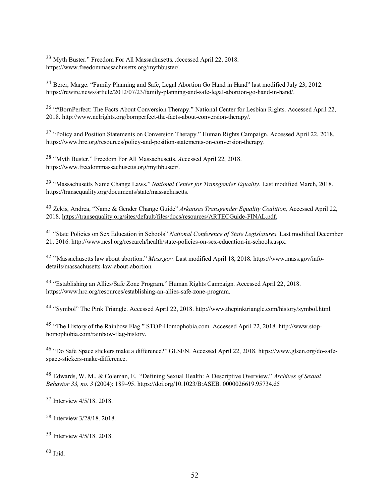33 Myth Buster." Freedom For All Massachusetts*. A*ccessed April 22, 2018. https://www.freedommassachusetts.org/mythbuster/.

<sup>34</sup> Berer, Marge. "Family Planning and Safe, Legal Abortion Go Hand in Hand" last modified July 23, 2012. https://rewire.news/article/2012/07/23/family-planning-and-safe-legal-abortion-go-hand-in-hand/.

<sup>36</sup> "#BornPerfect: The Facts About Conversion Therapy." National Center for Lesbian Rights. Accessed April 22, 2018. http://www.nclrights.org/bornperfect-the-facts-about-conversion-therapy/.

<sup>37</sup> "Policy and Position Statements on Conversion Therapy." Human Rights Campaign. Accessed April 22, 2018. https://www.hrc.org/resources/policy-and-position-statements-on-conversion-therapy.

<sup>38</sup> "Myth Buster." Freedom For All Massachusetts*. A*ccessed April 22, 2018. https://www.freedommassachusetts.org/mythbuster/.

<sup>39</sup> "Massachusetts Name Change Laws." *National Center for Transgender Equality*. Last modified March, 2018. https://transequality.org/documents/state/massachusetts.

<sup>40</sup> Zekis, Andrea, "Name & Gender Change Guide" *Arkansas Transgender Equality Coalition,* Accessed April 22, 2018. https://transequality.org/sites/default/files/docs/resources/ARTECGuide-FINAL.pdf.

<sup>41</sup> "State Policies on Sex Education in Schools" *National Conference of State Legislatures*. Last modified December 21, 2016. http://www.ncsl.org/research/health/state-policies-on-sex-education-in-schools.aspx.

<sup>42</sup> "Massachusetts law about abortion." *Mass.gov.* Last modified April 18, 2018. https://www.mass.gov/infodetails/massachusetts-law-about-abortion.

<sup>43</sup> "Establishing an Allies/Safe Zone Program." Human Rights Campaign. Accessed April 22, 2018. https://www.hrc.org/resources/establishing-an-allies-safe-zone-program.

<sup>44</sup> "Symbol" The Pink Triangle. Accessed April 22, 2018. http://www.thepinktriangle.com/history/symbol.html.

<sup>45</sup> "The History of the Rainbow Flag." STOP-Homophobia.com. Accessed April 22, 2018. http://www.stophomophobia.com/rainbow-flag-history.

<sup>46</sup> "Do Safe Space stickers make a difference?" GLSEN. Accessed April 22, 2018. https://www.glsen.org/do-safespace-stickers-make-difference.

<sup>48</sup> Edwards, W. M., & Coleman, E. "Defining Sexual Health: A Descriptive Overview." *Archives of Sexual Behavior 33, no. 3* (2004): 189–95. https://doi.org/10.1023/B:ASEB. 0000026619.95734.d5

<sup>57</sup> Interview 4/5/18. 2018.

<sup>58</sup> Interview 3/28/18. 2018.

<sup>59</sup> Interview 4/5/18. 2018.

 $60$  Ibid.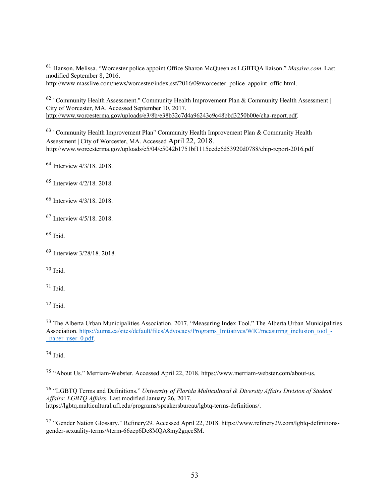<sup>61</sup> Hanson, Melissa. "Worcester police appoint Office Sharon McQueen as LGBTQA liaison." *Massive.com*. Last modified September 8, 2016.

http://www.masslive.com/news/worcester/index.ssf/2016/09/worcester\_police\_appoint\_offic.html.

<sup>62</sup> "Community Health Assessment." Community Health Improvement Plan & Community Health Assessment | City of Worcester, MA. Accessed September 10, 2017. http://www.worcesterma.gov/uploads/e3/8b/e38b32c7d4a96243c9c48bbd3250b00e/cha-report.pdf.

<sup>63</sup> "Community Health Improvement Plan" Community Health Improvement Plan & Community Health Assessment | City of Worcester, MA. Accessed April 22, 2018. http://www.worcesterma.gov/uploads/c5/04/c5042b1751bf1115eedc6d53920d0788/chip-report-2016.pdf

<sup>64</sup> Interview 4/3/18. 2018.

- <sup>65</sup> Interview 4/2/18. 2018.
- <sup>66</sup> Interview 4/3/18. 2018.
- <sup>67</sup> Interview 4/5/18. 2018.

 $68$  Ibid.

 $\overline{a}$ 

 $70$  Ibid.

 $71$  Ibid.

 $72$  Ibid.

<sup>73</sup> The Alberta Urban Municipalities Association. 2017. "Measuring Index Tool." The Alberta Urban Municipalities Association. https://auma.ca/sites/default/files/Advocacy/Programs\_Initiatives/WIC/measuring\_inclusion\_tool\_paper user  $0.$ pdf.

 $74$  Ibid.

<sup>75</sup> "About Us." Merriam-Webster. Accessed April 22, 2018. https://www.merriam-webster.com/about-us.

<sup>76</sup> "LGBTQ Terms and Definitions." *University of Florida Multicultural & Diversity Affairs Division of Student Affairs: LGBTQ Affairs*. Last modified January 26, 2017. https://lgbtq.multicultural.ufl.edu/programs/speakersbureau/lgbtq-terms-definitions/.

<sup>77</sup> "Gender Nation Glossary." Refinery29. Accessed April 22, 2018. https://www.refinery29.com/lgbtq-definitionsgender-sexuality-terms/#term-66zep6De8MQA8my2gqccSM.

<sup>69</sup> Interview 3/28/18. 2018.